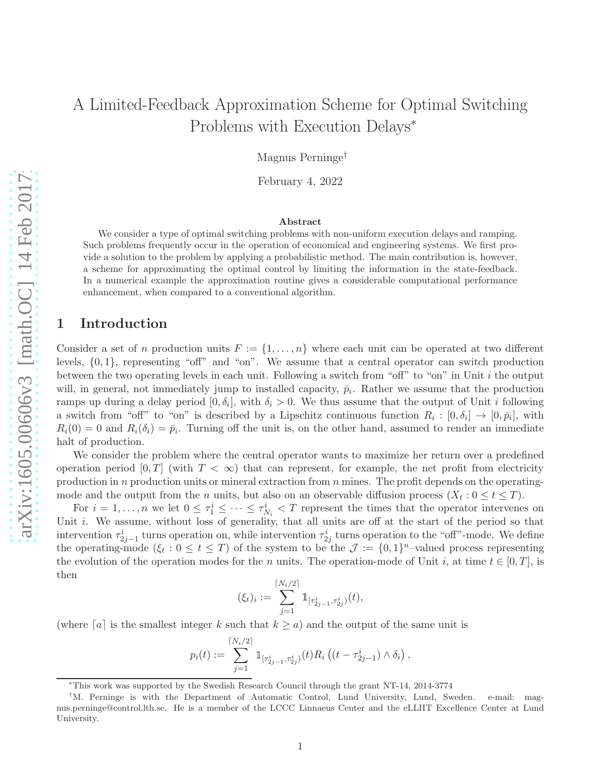# A Limited-Feedback Approximation Scheme for Optimal Switching Problems with Execution Delays<sup>∗</sup>

Magnus Perninge†

February 4, 2022

#### Abstract

We consider a type of optimal switching problems with non-uniform execution delays and ramping. Such problems frequently occur in the operation of economical and engineering systems. We first provide a solution to the problem by applying a probabilistic method. The main contribution is, however, a scheme for approximating the optimal control by limiting the information in the state-feedback. In a numerical example the approximation routine gives a considerable computational performance enhancement, when compared to a conventional algorithm.

### 1 Introduction

Consider a set of n production units  $F := \{1, \ldots, n\}$  where each unit can be operated at two different levels, {0, 1}, representing "off" and "on". We assume that a central operator can switch production between the two operating levels in each unit. Following a switch from "off" to "on" in Unit i the output will, in general, not immediately jump to installed capacity,  $\bar{p}_i$ . Rather we assume that the production ramps up during a delay period  $[0, \delta_i]$ , with  $\delta_i > 0$ . We thus assume that the output of Unit *i* following a switch from "off" to "on" is described by a Lipschitz continuous function  $R_i: [0, \delta_i] \to [0, \bar{p}_i]$ , with  $R_i(0) = 0$  and  $R_i(\delta_i) = \bar{p}_i$ . Turning off the unit is, on the other hand, assumed to render an immediate halt of production.

We consider the problem where the central operator wants to maximize her return over a predefined operation period [0, T] (with  $T < \infty$ ) that can represent, for example, the net profit from electricity production in n production units or mineral extraction from  $n$  mines. The profit depends on the operatingmode and the output from the *n* units, but also on an observable diffusion process  $(X_t: 0 \le t \le T)$ .

For  $i=1,\ldots,n$  we let  $0 \leq \tau_1^i \leq \cdots \leq \tau_{N_i}^i < T$  represent the times that the operator intervenes on Unit *i*. We assume, without loss of generality, that all units are off at the start of the period so that intervention  $\tau_{2j-1}^i$  turns operation on, while intervention  $\tau_{2j}^i$  turns operation to the "off"-mode. We define the operating-mode  $(\xi_t : 0 \le t \le T)$  of the system to be the  $\mathcal{J} := \{0,1\}^n$ -valued process representing the evolution of the operation modes for the n units. The operation-mode of Unit i, at time  $t \in [0, T]$ , is then

$$
(\xi_t)_i := \sum_{j=1}^{\lceil N_i/2 \rceil} \mathbb{1}_{[\tau_{2j-1}^i, \tau_{2j}^i)}(t),
$$

(where  $[a]$  is the smallest integer k such that  $k \ge a$ ) and the output of the same unit is

$$
p_i(t) := \sum_{j=1}^{\lceil N_i/2 \rceil} \mathbb{1}_{\lceil \tau_{2j-1}^i, \tau_{2j}^i \rceil}(t) R_i \left( (t - \tau_{2j-1}^i) \wedge \delta_i \right),
$$

<sup>∗</sup>This work was supported by the Swedish Research Council through the grant NT-14, 2014-3774

<sup>†</sup>M. Perninge is with the Department of Automatic Control, Lund University, Lund, Sweden. e-mail: magnus.perninge@control.lth.se. He is a member of the LCCC Linnaeus Center and the eLLIIT Excellence Center at Lund University.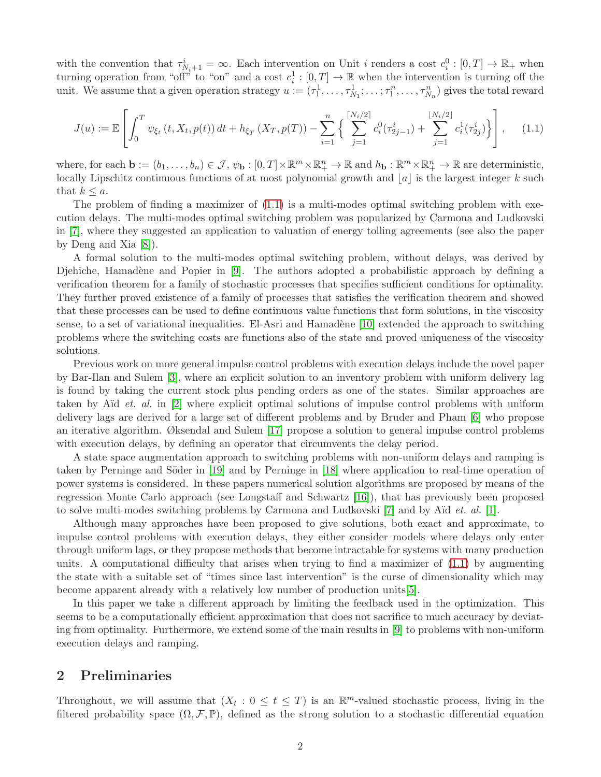with the convention that  $\tau_{N_i+1}^i = \infty$ . Each intervention on Unit *i* renders a cost  $c_i^0 : [0, T] \to \mathbb{R}_+$  when turning operation from "off" to "on" and a cost  $c_i^1:[0,T] \to \mathbb{R}$  when the intervention is turning off the unit. We assume that a given operation strategy  $u := (\tau_1^1, \ldots, \tau_{N_1}^1; \ldots; \tau_1^n, \ldots, \tau_{N_n}^n)$  gives the total reward

<span id="page-1-0"></span>
$$
J(u) := \mathbb{E}\left[\int_0^T \psi_{\xi_t}\left(t, X_t, p(t)\right) dt + h_{\xi_T}\left(X_T, p(T)\right) - \sum_{i=1}^n \left\{ \sum_{j=1}^{\lceil N_i/2 \rceil} c_i^0(\tau_{2j-1}^i) + \sum_{j=1}^{\lfloor N_i/2 \rfloor} c_i^1(\tau_{2j}^i) \right\} \right],\tag{1.1}
$$

where, for each  $\mathbf{b} := (b_1, \ldots, b_n) \in \mathcal{J}, \psi_{\mathbf{b}} : [0, T] \times \mathbb{R}^m \times \mathbb{R}^n_+ \to \mathbb{R}$  and  $h_{\mathbf{b}} : \mathbb{R}^m \times \mathbb{R}^n_+ \to \mathbb{R}$  are deterministic, locally Lipschitz continuous functions of at most polynomial growth and  $|a|$  is the largest integer k such that  $k \leq a$ .

The problem of finding a maximizer of  $(1.1)$  is a multi-modes optimal switching problem with execution delays. The multi-modes optimal switching problem was popularized by Carmona and Ludkovski in [\[7\]](#page-23-0), where they suggested an application to valuation of energy tolling agreements (see also the paper by Deng and Xia [\[8\]](#page-23-1)).

A formal solution to the multi-modes optimal switching problem, without delays, was derived by Djehiche, Hamadène and Popier in  $[9]$ . The authors adopted a probabilistic approach by defining a verification theorem for a family of stochastic processes that specifies sufficient conditions for optimality. They further proved existence of a family of processes that satisfies the verification theorem and showed that these processes can be used to define continuous value functions that form solutions, in the viscosity sense, to a set of variational inequalities. El-Asri and Hamadène [\[10\]](#page-23-3) extended the approach to switching problems where the switching costs are functions also of the state and proved uniqueness of the viscosity solutions.

Previous work on more general impulse control problems with execution delays include the novel paper by Bar-Ilan and Sulem [\[3\]](#page-22-0), where an explicit solution to an inventory problem with uniform delivery lag is found by taking the current stock plus pending orders as one of the states. Similar approaches are taken by Aïd *et. al.* in [\[2\]](#page-22-1) where explicit optimal solutions of impulse control problems with uniform delivery lags are derived for a large set of different problems and by Bruder and Pham [\[6\]](#page-23-4) who propose an iterative algorithm. Øksendal and Sulem [\[17\]](#page-23-5) propose a solution to general impulse control problems with execution delays, by defining an operator that circumvents the delay period.

A state space augmentation approach to switching problems with non-uniform delays and ramping is taken by Perninge and Söder in [\[19\]](#page-23-6) and by Perninge in [\[18\]](#page-23-7) where application to real-time operation of power systems is considered. In these papers numerical solution algorithms are proposed by means of the regression Monte Carlo approach (see Longstaff and Schwartz [\[16\]](#page-23-8)), that has previously been proposed to solve multi-modes switching problems by Carmona and Ludkovski [\[7\]](#page-23-0) and by Aïd *et. al.* [\[1\]](#page-22-2).

Although many approaches have been proposed to give solutions, both exact and approximate, to impulse control problems with execution delays, they either consider models where delays only enter through uniform lags, or they propose methods that become intractable for systems with many production units. A computational difficulty that arises when trying to find a maximizer of  $(1.1)$  by augmenting the state with a suitable set of "times since last intervention" is the curse of dimensionality which may become apparent already with a relatively low number of production units[\[5\]](#page-23-9).

In this paper we take a different approach by limiting the feedback used in the optimization. This seems to be a computationally efficient approximation that does not sacrifice to much accuracy by deviating from optimality. Furthermore, we extend some of the main results in [\[9\]](#page-23-2) to problems with non-uniform execution delays and ramping.

## <span id="page-1-1"></span>2 Preliminaries

Throughout, we will assume that  $(X_t: 0 \le t \le T)$  is an  $\mathbb{R}^m$ -valued stochastic process, living in the filtered probability space  $(\Omega, \mathcal{F}, \mathbb{P})$ , defined as the strong solution to a stochastic differential equation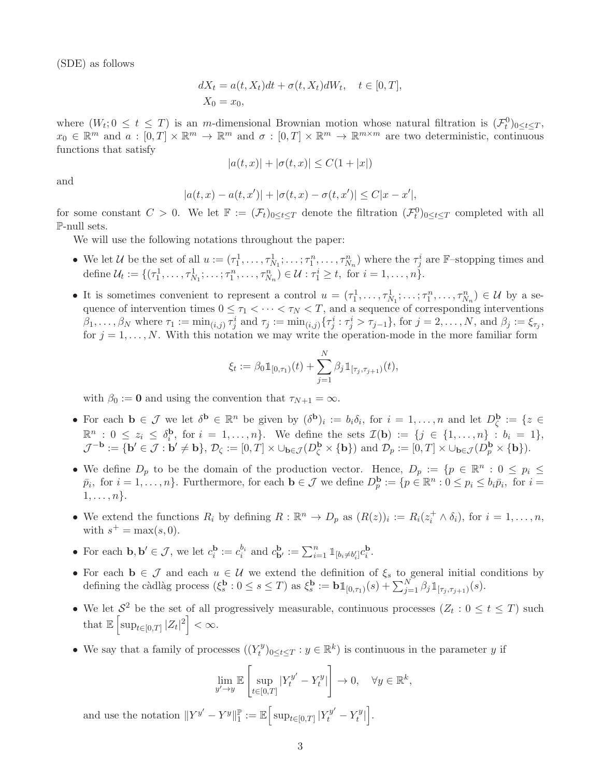(SDE) as follows

$$
dX_t = a(t, X_t)dt + \sigma(t, X_t)dW_t, \quad t \in [0, T],
$$
  

$$
X_0 = x_0,
$$

where  $(W_t; 0 \le t \le T)$  is an m-dimensional Brownian motion whose natural filtration is  $(\mathcal{F}_t^0)_{0 \le t \le T}$ ,  $x_0 \in \mathbb{R}^m$  and  $a: [0,T] \times \mathbb{R}^m \to \mathbb{R}^m$  and  $\sigma: [0,T] \times \mathbb{R}^m \to \mathbb{R}^{m \times m}$  are two deterministic, continuous functions that satisfy

$$
|a(t, x)| + |\sigma(t, x)| \le C(1 + |x|)
$$

and

$$
|a(t, x) - a(t, x')| + |\sigma(t, x) - \sigma(t, x')| \le C|x - x'|,
$$

for some constant  $C > 0$ . We let  $\mathbb{F} := (\mathcal{F}_t)_{0 \le t \le T}$  denote the filtration  $(\mathcal{F}_t^0)_{0 \le t \le T}$  completed with all P-null sets.

We will use the following notations throughout the paper:

- We let U be the set of all  $u := (\tau_1^1, \ldots, \tau_{N_1}^1; \ldots; \tau_1^n, \ldots, \tau_{N_n}^n)$  where the  $\tau_j^i$  are  $\mathbb{F}$ -stopping times and define  $\mathcal{U}_t := \{(\tau_1^1, \ldots, \tau_{N_1}^1; \ldots; \tau_1^n, \ldots, \tau_{N_n}^n) \in \mathcal{U} : \tau_1^i \ge t, \text{ for } i = 1, \ldots, n\}.$
- It is sometimes convenient to represent a control  $u = (\tau_1^1, \ldots, \tau_{N_1}^1; \ldots; \tau_1^n, \ldots, \tau_{N_n}^n) \in \mathcal{U}$  by a sequence of intervention times  $0 \leq \tau_1 < \cdots < \tau_N < T$ , and a sequence of corresponding interventions  $\beta_1,\ldots,\beta_N$  where  $\tau_1 := \min_{(i,j)} \tau_j^i$  and  $\tau_j := \min_{(i,j)} \{\tau_j^i : \tau_j^i > \tau_{j-1}\}\text{, for } j = 2,\ldots,N\text{, and } \beta_j := \xi_{\tau_j}$ for  $j = 1, \ldots, N$ . With this notation we may write the operation-mode in the more familiar form

$$
\xi_t := \beta_0 \mathbb{1}_{[0,\tau_1)}(t) + \sum_{j=1}^N \beta_j \mathbb{1}_{[\tau_j,\tau_{j+1})}(t),
$$

with  $\beta_0 := \mathbf{0}$  and using the convention that  $\tau_{N+1} = \infty$ .

- For each  $\mathbf{b} \in \mathcal{J}$  we let  $\delta^{\mathbf{b}} \in \mathbb{R}^n$  be given by  $(\delta^{\mathbf{b}})_i := b_i \delta_i$ , for  $i = 1, ..., n$  and let  $D_{\zeta}^{\mathbf{b}} := \{z \in \mathcal{J} \mid z \in \mathcal{J} \}$  $\mathbb{R}^n$  :  $0 \leq z_i \leq \delta_i^{\mathbf{b}}$  $i_i^{\mathbf{b}}$ , for  $i = 1, ..., n$ . We define the sets  $\mathcal{I}(\mathbf{b}) := \{j \in \{1, ..., n\} : b_i = 1\},\$  $\mathcal{J}^{-\mathbf{b}} := \{ \mathbf{b}' \in \mathcal{J} : \mathbf{b}' \neq \mathbf{b} \}, \, \mathcal{D}_{\zeta} := [0, T] \times \cup_{\mathbf{b} \in \mathcal{J}} (D_{\zeta}^{\mathbf{b}} \times \{ \mathbf{b} \}) \text{ and } \mathcal{D}_{p} := [0, T] \times \cup_{\mathbf{b} \in \mathcal{J}} (D_{p}^{\mathbf{b}} \times \{ \mathbf{b} \}).$
- We define  $D_p$  to be the domain of the production vector. Hence,  $D_p := \{p \in \mathbb{R}^n : 0 \leq p_i \leq p_j\}$  $\bar{p}_i$ , for  $i = 1, \ldots, n$ . Furthermore, for each  $\mathbf{b} \in \mathcal{J}$  we define  $D_p^{\mathbf{b}} := \{p \in \mathbb{R}^n : 0 \leq p_i \leq b_i \bar{p}_i$ , for  $i = 1, \ldots, n\}$ .  $1, \ldots, n$ .
- We extend the functions  $R_i$  by defining  $R : \mathbb{R}^n \to D_p$  as  $(R(z))_i := R_i(z_i^+ \wedge \delta_i)$ , for  $i = 1, \ldots, n$ , with  $s^+ = \max(s, 0)$ .
- For each  $\mathbf{b}, \mathbf{b}' \in \mathcal{J}$ , we let  $c_i^{\mathbf{b}}$  $\mathbf{b}_i := c_i^{b_i}$  and  $c_{\mathbf{b}'}^{\mathbf{b}} := \sum_{i=1}^n \mathbb{1}_{[b_i \neq b_i']} c_i^{\mathbf{b}}$  $\frac{1}{i}$ .
- For each  $\mathbf{b} \in \mathcal{J}$  and each  $u \in \mathcal{U}$  we extend the definition of  $\xi_s$  to general initial conditions by defining the càdlàg process  $(\xi_s^{\mathbf{b}})$  $s \nvert s : 0 \leq s \leq T$  as  $\xi_s^{\mathbf{b}}$  $s^{\mathbf{b}} := \mathbf{b} \mathbb{1}_{[0,\tau_1)}(s) + \sum_{j=1}^N \beta_j \mathbb{1}_{[\tau_j,\tau_{j+1})}(s).$
- We let  $S^2$  be the set of all progressively measurable, continuous processes  $(Z_t: 0 \le t \le T)$  such that  $\mathbb{E}\left[\sup_{t\in[0,T]}|Z_t|^2\right]<\infty$ .
- We say that a family of processes  $((Y_t^y$  $(t^y)_{0 \le t \le T} : y \in \mathbb{R}^k$  is continuous in the parameter y if

$$
\lim_{y' \to y} \mathbb{E}\left[\sup_{t \in [0,T]} |Y_t^{y'} - Y_t^y| \right] \to 0, \quad \forall y \in \mathbb{R}^k,
$$

and use the notation  $||Y^{y'} - Y^{y}||_{1}^{\mathbb{P}}$  $\mathbb{P}_1:=\mathbb{E}\Big[\sup_{t\in[0,T]}|Y^{y'}_t-Y^{y}_t\Big]$  $\begin{bmatrix} y \\ t \end{bmatrix}$ .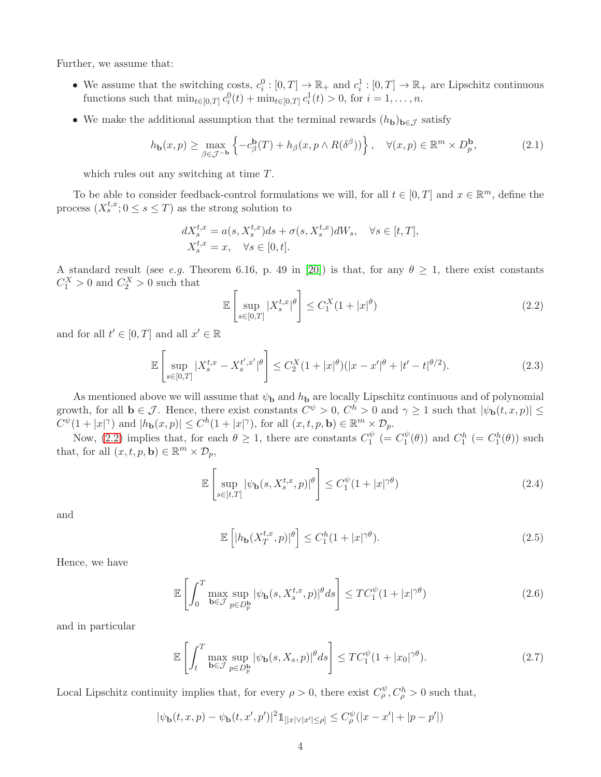Further, we assume that:

- We assume that the switching costs,  $c_i^0: [0, T] \to \mathbb{R}_+$  and  $c_i^1: [0, T] \to \mathbb{R}_+$  are Lipschitz continuous functions such that  $\min_{t \in [0,T]} c_i^0(t) + \min_{t \in [0,T]} c_i^1(t) > 0$ , for  $i = 1, ..., n$ .
- We make the additional assumption that the terminal rewards  $(h_{\mathbf{b}})_{\mathbf{b}\in\mathcal{J}}$  satisfy

<span id="page-3-4"></span>
$$
h_{\mathbf{b}}(x,p) \ge \max_{\beta \in \mathcal{J}^{-\mathbf{b}}} \left\{ -c_{\beta}^{\mathbf{b}}(T) + h_{\beta}(x,p \wedge R(\delta^{\beta})) \right\}, \quad \forall (x,p) \in \mathbb{R}^{m} \times D_{p}^{\mathbf{b}},\tag{2.1}
$$

which rules out any switching at time T.

To be able to consider feedback-control formulations we will, for all  $t \in [0, T]$  and  $x \in \mathbb{R}^m$ , define the process  $(X_s^{t,x}; 0 \le s \le T)$  as the strong solution to

$$
dX_s^{t,x} = a(s, X_s^{t,x})ds + \sigma(s, X_s^{t,x})dW_s, \quad \forall s \in [t, T],
$$
  

$$
X_s^{t,x} = x, \quad \forall s \in [0, t].
$$

A standard result (see *e.g.* Theorem 6.16, p. 49 in [\[20\]](#page-23-10)) is that, for any  $\theta \geq 1$ , there exist constants  $C_1^X > 0$  and  $C_2^X > 0$  such that

<span id="page-3-0"></span>
$$
\mathbb{E}\left[\sup_{s\in[0,T]} |X_s^{t,x}|^\theta\right] \le C_1^X(1+|x|^\theta) \tag{2.2}
$$

and for all  $t' \in [0, T]$  and all  $x' \in \mathbb{R}$ 

$$
\mathbb{E}\left[\sup_{s\in[0,T]}|X_s^{t,x}-X_s^{t',x'}|^\theta\right] \le C_2^X(1+|x|^\theta)(|x-x'|^\theta+|t'-t|^{\theta/2}).\tag{2.3}
$$

As mentioned above we will assume that  $\psi_{\bf b}$  and  $h_{\bf b}$  are locally Lipschitz continuous and of polynomial growth, for all  $\mathbf{b} \in \mathcal{J}$ . Hence, there exist constants  $C^{\psi} > 0$ ,  $C^h > 0$  and  $\gamma \geq 1$  such that  $|\psi_{\mathbf{b}}(t, x, p)| \leq$  $C^{\psi}(1+|x|^{\gamma})$  and  $|h_{\mathbf{b}}(x,p)| \leq C^h(1+|x|^{\gamma})$ , for all  $(x,t,p,\mathbf{b}) \in \mathbb{R}^m \times \mathcal{D}_p$ .

Now, [\(2.2\)](#page-3-0) implies that, for each  $\theta \geq 1$ , there are constants  $C_1^{\psi}$  $C_1^{\psi}$  (=  $C_1^{\psi}$  $\binom{\psi}{1}(\theta)$  and  $C_1^h$  (=  $C_1^h(\theta)$ ) such that, for all  $(x, t, p, \mathbf{b}) \in \mathbb{R}^m \times \mathcal{D}_p$ ,

$$
\mathbb{E}\left[\sup_{s\in[t,T]}|\psi_{\mathbf{b}}(s,X_s^{t,x},p)|^{\theta}\right] \leq C_1^{\psi}(1+|x|^{\gamma\theta})\tag{2.4}
$$

and

<span id="page-3-3"></span><span id="page-3-2"></span><span id="page-3-1"></span>
$$
\mathbb{E}\left[|h_{\mathbf{b}}(X_T^{t,x},p)|^\theta\right] \le C_1^h(1+|x|^{\gamma\theta}).\tag{2.5}
$$

Hence, we have

$$
\mathbb{E}\left[\int_0^T \max_{\mathbf{b}\in\mathcal{J}} \sup_{p\in D_p^{\mathbf{b}}} |\psi_{\mathbf{b}}(s, X_s^{t,x}, p)|^\theta ds\right] \le TC_1^{\psi}(1+|x|^{\gamma\theta})\tag{2.6}
$$

and in particular

$$
\mathbb{E}\left[\int_{t}^{T} \max_{\mathbf{b}\in\mathcal{J}} \sup_{p\in D_{p}^{\mathbf{b}}} |\psi_{\mathbf{b}}(s,X_{s},p)|^{\theta} ds\right] \leq TC_{1}^{\psi}(1+|x_{0}|^{\gamma\theta}).\tag{2.7}
$$

Local Lipschitz continuity implies that, for every  $\rho > 0$ , there exist  $C_{\rho}^{\psi}, C_{\rho}^{h} > 0$  such that,

$$
|\psi_{\mathbf{b}}(t,x,p) - \psi_{\mathbf{b}}(t,x',p')|^2 1\!\!1_{[|x| \vee |x'| \leq \rho]} \leq C^{\psi}_{\rho}(|x-x'| + |p-p'|)
$$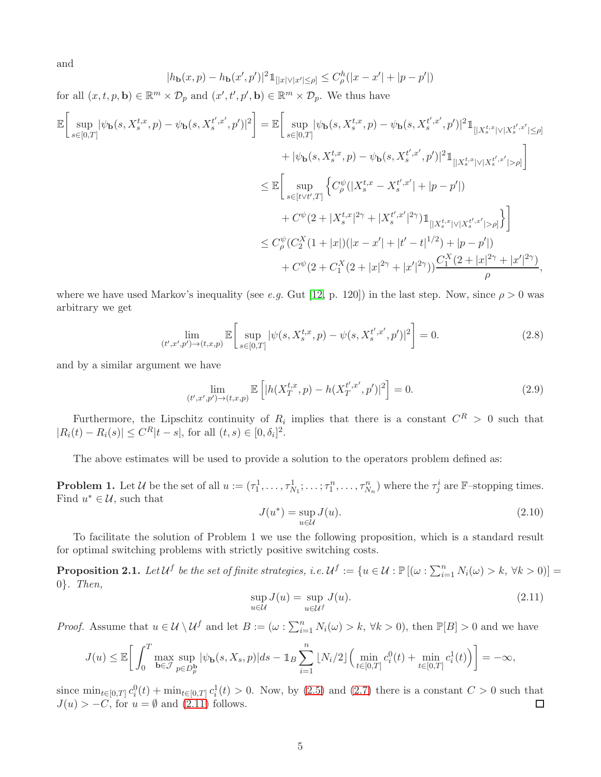and

$$
|h_{\mathbf{b}}(x,p) - h_{\mathbf{b}}(x',p')|^2 1_{[|x| \vee |x'| \le \rho]} \le C_{\rho}^h(|x-x'| + |p-p'|)
$$

for all  $(x, t, p, \mathbf{b}) \in \mathbb{R}^m \times \mathcal{D}_p$  and  $(x', t', p', \mathbf{b}) \in \mathbb{R}^m \times \mathcal{D}_p$ . We thus have

$$
\mathbb{E}\left[\sup_{s\in[0,T]}|\psi_{\mathbf{b}}(s,X_s^{t,x},p)-\psi_{\mathbf{b}}(s,X_s^{t',x'},p')|^2\right] = \mathbb{E}\left[\sup_{s\in[0,T]}|\psi_{\mathbf{b}}(s,X_s^{t,x},p)-\psi_{\mathbf{b}}(s,X_s^{t',x'},p')|^2\mathbb{1}_{[|X_s^{t,x}|\vee|X_s^{t',x'}|\geq\rho]} + |\psi_{\mathbf{b}}(s,X_s^{t,x},p)-\psi_{\mathbf{b}}(s,X_s^{t',x'},p')|^2\mathbb{1}_{[|X_s^{t,x}|\vee|X_s^{t',x'}|\geq\rho]}\right]
$$
  
\n
$$
\leq \mathbb{E}\left[\sup_{s\in[t\vee t',T]}\left\{C_\rho^{\psi}(|X_s^{t,x}-X_s^{t',x'}|+|p-p'|)\right.\right.\\ \left. +C^{\psi}(2+|X_s^{t,x}|^{2\gamma}+|X_s^{t',x'}|^{2\gamma})\mathbb{1}_{[|X_s^{t,x}|\vee|X_s^{t',x'}|\geq\rho]}\right\}\right]
$$
  
\n
$$
\leq C_\rho^{\psi}(C_2^X(1+|x|)(|x-x'|+|t'-t|^{1/2})+|p-p'|)\right.\\ \left. +C^{\psi}(2+C_1^X(2+|x|^{2\gamma}+|x'|^{2\gamma}))\frac{C_1^X(2+|x|^{2\gamma}+|x'|^{2\gamma})}{\rho},
$$

where we have used Markov's inequality (see *e.g.* Gut [\[12,](#page-23-11) p. 120]) in the last step. Now, since  $\rho > 0$  was arbitrary we get

$$
\lim_{(t',x',p') \to (t,x,p)} \mathbb{E}\left[\sup_{s \in [0,T]} |\psi(s, X_s^{t,x}, p) - \psi(s, X_s^{t',x'}, p')|^2\right] = 0. \tag{2.8}
$$

and by a similar argument we have

$$
\lim_{(t',x',p') \to (t,x,p)} \mathbb{E}\left[|h(X_T^{t,x},p) - h(X_T^{t',x'},p')|^2\right] = 0. \tag{2.9}
$$

Furthermore, the Lipschitz continuity of  $R_i$  implies that there is a constant  $C^R > 0$  such that  $|R_i(t) - R_i(s)| \leq C^R |t - s|$ , for all  $(t, s) \in [0, \delta_i]^2$ .

The above estimates will be used to provide a solution to the operators problem defined as:

**Problem 1.** Let U be the set of all  $u := (\tau_1^1, \ldots, \tau_{N_1}^1; \ldots; \tau_1^n, \ldots, \tau_{N_n}^n)$  where the  $\tau_j^i$  are F-stopping times. Find  $u^* \in \mathcal{U}$ , such that

<span id="page-4-3"></span><span id="page-4-2"></span>
$$
J(u^*) = \sup_{u \in \mathcal{U}} J(u). \tag{2.10}
$$

To facilitate the solution of Problem 1 we use the following proposition, which is a standard result for optimal switching problems with strictly positive switching costs.

<span id="page-4-1"></span>**Proposition 2.1.** Let  $\mathcal{U}^f$  be the set of finite strategies, i.e.  $\mathcal{U}^f := \{u \in \mathcal{U} : \mathbb{P}[(\omega : \sum_{i=1}^n N_i(\omega) > k, \forall k > 0)] =$ 0}*. Then,*

<span id="page-4-0"></span>
$$
\sup_{u \in \mathcal{U}} J(u) = \sup_{u \in \mathcal{U}^f} J(u). \tag{2.11}
$$

*Proof.* Assume that  $u \in \mathcal{U} \setminus \mathcal{U}^f$  and let  $B := (\omega : \sum_{i=1}^n N_i(\omega) > k, \forall k > 0)$ , then  $\mathbb{P}[B] > 0$  and we have

$$
J(u) \leq \mathbb{E}\bigg[\int_0^T \max_{\mathbf{b}\in\mathcal{J}}\sup_{p\in D_p^{\mathbf{b}}}|\psi_{\mathbf{b}}(s,X_s,p)|ds - 1\!\!1_{B}\sum_{i=1}^n\lfloor N_i/2\rfloor \Big(\min_{t\in[0,T]}c_i^0(t) + \min_{t\in[0,T]}c_i^1(t)\Big)\bigg] = -\infty,
$$

since  $\min_{t\in[0,T]} c_i^0(t) + \min_{t\in[0,T]} c_i^1(t) > 0$ . Now, by [\(2.5\)](#page-3-1) and [\(2.7\)](#page-3-2) there is a constant  $C > 0$  such that  $J(u) > -C$ , for  $u = \emptyset$  and  $(2.11)$  follows.  $\Box$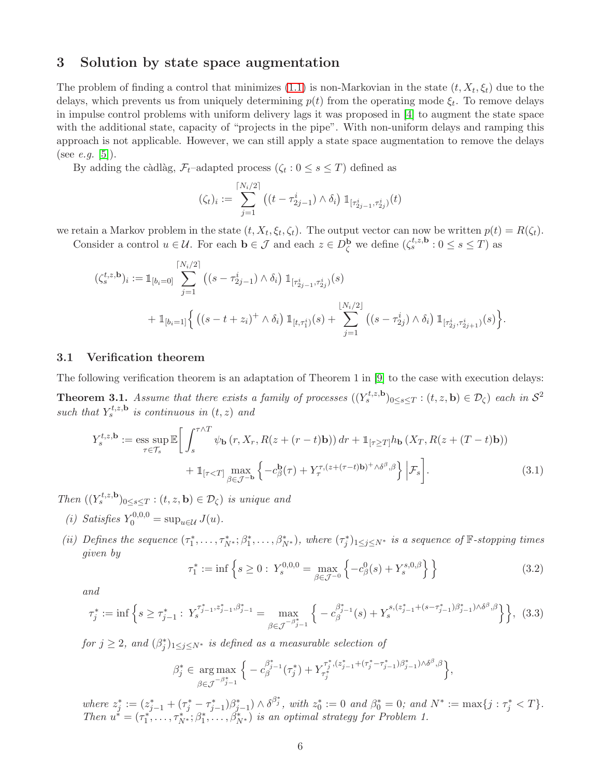#### 3 Solution by state space augmentation

The problem of finding a control that minimizes  $(1.1)$  is non-Markovian in the state  $(t, X_t, \xi_t)$  due to the delays, which prevents us from uniquely determining  $p(t)$  from the operating mode  $\xi_t$ . To remove delays in impulse control problems with uniform delivery lags it was proposed in [\[4\]](#page-23-12) to augment the state space with the additional state, capacity of "projects in the pipe". With non-uniform delays and ramping this approach is not applicable. However, we can still apply a state space augmentation to remove the delays (see *e.g.* [\[5\]](#page-23-9)).

By adding the càdlàg,  $\mathcal{F}_t$ -adapted process  $(\zeta_t : 0 \le s \le T)$  defined as

$$
(\zeta_t)_i := \sum_{j=1}^{\lceil N_i/2 \rceil} \left( (t - \tau_{2j-1}^i) \wedge \delta_i \right) \mathbb{1}_{\lceil \tau_{2j-1}^i, \tau_{2j}^i \rceil} (t)
$$

we retain a Markov problem in the state  $(t, X_t, \xi_t, \zeta_t)$ . The output vector can now be written  $p(t) = R(\zeta_t)$ . Consider a control  $u \in \mathcal{U}$ . For each  $\mathbf{b} \in \mathcal{J}$  and each  $z \in D_{\zeta}^{\mathbf{b}}$  we define  $(\zeta_s^{t,z,\mathbf{b}} : 0 \leq s \leq T)$  as

$$
(\zeta_s^{t,z,\mathbf{b}})_i := \mathbb{1}_{[b_i=0]} \sum_{j=1}^{\lceil N_i/2 \rceil} \left( (s - \tau_{2j-1}^i) \wedge \delta_i \right) \mathbb{1}_{[\tau_{2j-1}^i, \tau_{2j}^i)}(s)
$$
  
+ 
$$
\mathbb{1}_{[b_i=1]} \left\{ \left( (s - t + z_i)^+ \wedge \delta_i \right) \mathbb{1}_{[t,\tau_1^i)}(s) + \sum_{j=1}^{\lfloor N_i/2 \rfloor} \left( (s - \tau_{2j}^i) \wedge \delta_i \right) \mathbb{1}_{[\tau_{2j}^i, \tau_{2j+1}^i)}(s) \right\}.
$$

#### 3.1 Verification theorem

The following verification theorem is an adaptation of Theorem 1 in [\[9\]](#page-23-2) to the case with execution delays:

<span id="page-5-1"></span>**Theorem 3.1.** Assume that there exists a family of processes  $((Y_s^{t,z,\mathbf{b}})_{0\leq s\leq T} : (t,z,\mathbf{b}) \in \mathcal{D}_{\zeta})$  each in  $\mathcal{S}^2$ such that  $Y_s^{t,z,\mathbf{b}}$  is continuous in  $(t, z)$  and

$$
Y_s^{t,z,\mathbf{b}} := \underset{\tau \in \mathcal{T}_s}{\text{ess sup}} \mathbb{E} \bigg[ \int_s^{\tau \wedge T} \psi_{\mathbf{b}} \left( r, X_r, R(z + (r - t)\mathbf{b}) \right) dr + \mathbb{1}_{[\tau \ge T]} h_{\mathbf{b}} \left( X_T, R(z + (T - t)\mathbf{b}) \right) + \mathbb{1}_{[\tau < T]} \underset{\beta \in \mathcal{J}^{-\mathbf{b}}}{\text{max}} \left\{ -c_{\beta}^{\mathbf{b}}(\tau) + Y_{\tau}^{\tau, (z + (\tau - t)\mathbf{b}) + \wedge \delta^{\beta}, \beta} \right\} \bigg| \mathcal{F}_s \bigg]. \tag{3.1}
$$

*Then*  $((Y_s^{t,z,\mathbf{b}})_{0\leq s\leq T} : (t,z,\mathbf{b}) \in \mathcal{D}_{\zeta})$  *is unique and* 

- *(i)* Satisfies  $Y_0^{0,0,0} = \sup_{u \in \mathcal{U}} J(u)$ .
- (*ii*) Defines the sequence  $(\tau_1^*, \ldots, \tau_{N^*}^*; \beta_1^*, \ldots, \beta_{N^*}^*)$ , where  $(\tau_j^*)_{1 \leq j \leq N^*}$  is a sequence of  $\mathbb{F}$ -stopping times *given by*

<span id="page-5-0"></span>
$$
\tau_1^* := \inf \left\{ s \ge 0 : \ Y_s^{0,0,0} = \max_{\beta \in \mathcal{J}^{-0}} \left\{ -c_\beta^0(s) + Y_s^{s,0,\beta} \right\} \right\} \tag{3.2}
$$

*and*

$$
\tau_j^* := \inf \left\{ s \ge \tau_{j-1}^* : Y_s^{\tau_{j-1}^*, z_{j-1}^*, \beta_{j-1}^*} = \max_{\beta \in \mathcal{J}^{-\beta_{j-1}^*}} \left\{ -c_{\beta}^{\beta_{j-1}^*}(s) + Y_s^{s, (z_{j-1}^* + (s - \tau_{j-1}^*)\beta_{j-1}^*) \wedge \delta^{\beta}, \beta} \right\} \right\}, \tag{3.3}
$$

 $for \, j \geq 2, \, and \, (\beta_j^*)_{1 \leq j \leq N^*} \, is \, defined \, as \, a \, measurable \, selection \, of$ 

$$
\beta_j^* \in \underset{\beta \in \mathcal{J}}{\arg \max} \left\{ -c_{\beta}^{\beta_{j-1}^*}(\tau_j^*) + Y_{\tau_j^*}^{\tau_j^*,(z_{j-1}^*+(\tau_j^*-\tau_{j-1}^*)\beta_{j-1}^*) \wedge \delta^{\beta}, \beta} \right\},
$$

 $where z_j^* := (z_{j-1}^* + (\tau_j^* - \tau_{j-1}^*)\beta_{j-1}^*) \wedge \delta^{\beta_j^*}, with z_0^* := 0 and \beta_0^* = 0; and N^* := \max\{j : \tau_j^* \leq T\}.$ *Then*  $u^* = (\tau_1^*, \ldots, \tau_{N^*}^*, \beta_1^*, \ldots, \beta_{N^*}^*)$  *is an optimal strategy for Problem 1.*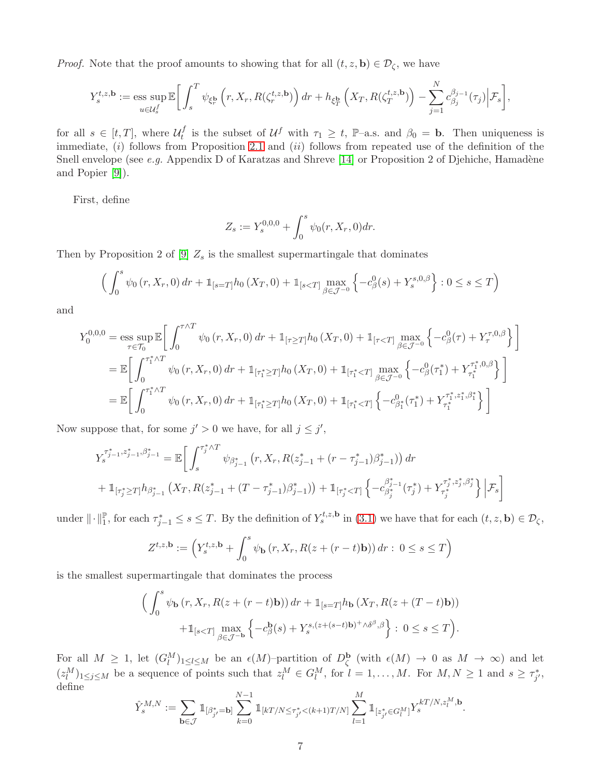*Proof.* Note that the proof amounts to showing that for all  $(t, z, \mathbf{b}) \in \mathcal{D}_{\zeta}$ , we have

$$
Y_s^{t,z,\mathbf{b}} := \operatorname*{\mathrm{ess~sup}}\limits_{u \in \mathcal{U}_s^f} \mathbb{E}\bigg[\int_s^T \psi_{\xi_r^{\mathbf{b}}}\left(r, X_r, R(\zeta_r^{t,z,\mathbf{b}})\right) dr + h_{\xi_T^{\mathbf{b}}}\left(X_T, R(\zeta_T^{t,z,\mathbf{b}})\right) - \sum_{j=1}^N c_{\beta_j}^{\beta_{j-1}}(\tau_j) \Big| \mathcal{F}_s\bigg],
$$

for all  $s \in [t, T]$ , where  $\mathcal{U}_t^f$ <sup>f</sup> is the subset of  $\mathcal{U}^f$  with  $\tau_1 \geq t$ , P-a.s. and  $\beta_0 = \mathbf{b}$ . Then uniqueness is immediate,  $(i)$  follows from Proposition [2.1](#page-4-1) and  $(ii)$  follows from repeated use of the definition of the Snell envelope (see *e.g.* Appendix D of Karatzas and Shreve [\[14\]](#page-23-13) or Proposition 2 of Djehiche, Hamadène and Popier [\[9\]](#page-23-2)).

First, define

$$
Z_s := Y_s^{0,0,0} + \int_0^s \psi_0(r, X_r, 0) dr.
$$

Then by Proposition 2 of [\[9\]](#page-23-2)  $Z_s$  is the smallest supermartingale that dominates

$$
\left(\int_0^s \psi_0(r, X_r, 0) dr + \mathbb{1}_{[s=T]} h_0(X_T, 0) + \mathbb{1}_{[s
$$

and

$$
Y_0^{0,0,0} = \underset{\tau \in \mathcal{T}_0}{\text{ess sup}} \mathbb{E} \bigg[ \int_0^{\tau \wedge T} \psi_0(r, X_r, 0) \, dr + \mathbb{1}_{[\tau \ge T]} h_0(X_T, 0) + \mathbb{1}_{[\tau < T]} \max_{\beta \in \mathcal{J}^{-0}} \left\{ -c_\beta^0(\tau) + Y_\tau^{\tau, 0, \beta} \right\} \bigg]
$$
\n
$$
= \mathbb{E} \bigg[ \int_0^{\tau_1^* \wedge T} \psi_0(r, X_r, 0) \, dr + \mathbb{1}_{[\tau_1^* \ge T]} h_0(X_T, 0) + \mathbb{1}_{[\tau_1^* < T]} \max_{\beta \in \mathcal{J}^{-0}} \left\{ -c_\beta^0(\tau_1^*) + Y_{\tau_1^*}^{\tau_1^*, 0, \beta} \right\} \bigg]
$$
\n
$$
= \mathbb{E} \bigg[ \int_0^{\tau_1^* \wedge T} \psi_0(r, X_r, 0) \, dr + \mathbb{1}_{[\tau_1^* \ge T]} h_0(X_T, 0) + \mathbb{1}_{[\tau_1^* < T]} \left\{ -c_{\beta_1^*}^0(\tau_1^*) + Y_{\tau_1^*}^{\tau_1^*, z_1^*, \beta_1^*} \right\} \bigg]
$$

Now suppose that, for some  $j' > 0$  we have, for all  $j \leq j'$ ,

$$
Y_{s}^{\tau_{j-1}^{*},z_{j-1}^{*},\beta_{j-1}^{*}} = \mathbb{E}\bigg[\int_{s}^{\tau_{j}^{*}\wedge T} \psi_{\beta_{j-1}^{*}}\left(r,X_{r},R(z_{j-1}^{*}+(r-\tau_{j-1}^{*})\beta_{j-1}^{*})\right)dr
$$
  
+ 
$$
\mathbb{1}_{[\tau_{j}^{*}\geq T]}h_{\beta_{j-1}^{*}}\left(X_{T},R(z_{j-1}^{*}+(T-\tau_{j-1}^{*})\beta_{j-1}^{*})\right)+\mathbb{1}_{[\tau_{j}^{*}
$$

under  $\|\cdot\|_{1}^{\mathbb{P}},$  for each  $\tau_{j-1}^{*} \leq s \leq T$ . By the definition of  $Y_{s}^{t,z,\mathbf{b}}$  in [\(3.1\)](#page-5-0) we have that for each  $(t,z,\mathbf{b}) \in \mathcal{D}_{\zeta}$ ,

$$
Z^{t,z,\mathbf{b}} := \left(Y_s^{t,z,\mathbf{b}} + \int_0^s \psi_\mathbf{b}\left(r, X_r, R(z + (r-t)\mathbf{b})\right) dr : 0 \le s \le T\right)
$$

is the smallest supermartingale that dominates the process

$$
\left(\int_0^s \psi_{\mathbf{b}}(r, X_r, R(z + (r - t)\mathbf{b})) dr + \mathbb{1}_{[s=T]} h_{\mathbf{b}}(X_T, R(z + (T - t)\mathbf{b})) + \mathbb{1}_{[s
$$

For all  $M \geq 1$ , let  $(G_l^M)_{1 \leq l \leq M}$  be an  $\epsilon(M)$ -partition of  $D_{\zeta}^{\mathbf{b}}$  (with  $\epsilon(M) \to 0$  as  $M \to \infty$ ) and let  $(z_l^M)_{1 \leq j \leq M}$  be a sequence of points such that  $z_l^M \in G_l^M$ , for  $l = 1, ..., M$ . For  $M, N \geq 1$  and  $s \geq \tau_{j'}^*$ , define

$$
\hat{Y}^{M,N}_s := \sum_{{\bf b} \in \mathcal{J}} \mathbbm{1}_{[\beta^*_{j'} = {\bf b}]} \sum_{k=0}^{N-1} \mathbbm{1}_{[kT/N \leq \tau^*_{j'} < (k+1)T/N]} \sum_{l=1}^M \mathbbm{1}_{[z^*_{j'} \in G^M_l]} Y^{kT/N, z^M_l, {\bf b}}_s.
$$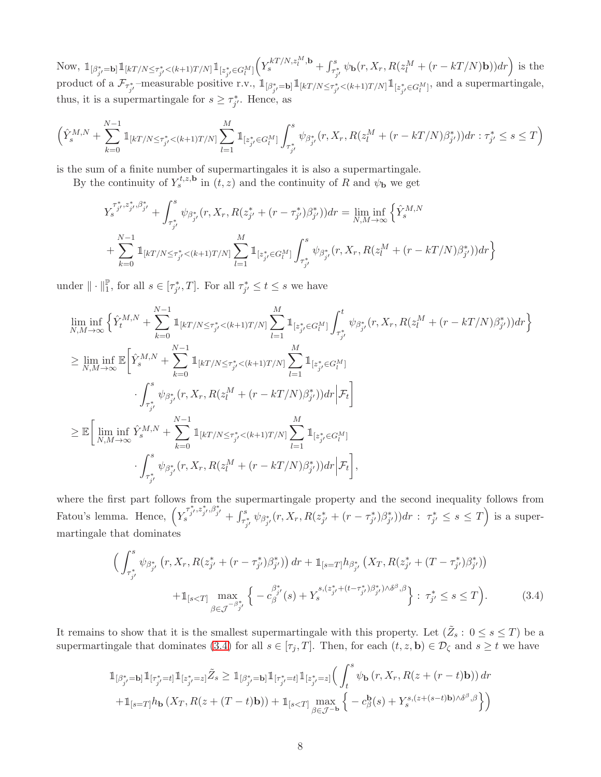Now,  $\mathbb{1}_{\left[\beta_{j'}^{*}=\mathbf{b}\right]}\mathbb{1}_{\left[kT/N\leq\tau_{j'}^{*}\leq (k+1)T/N\right]}\mathbb{1}_{\left[z_{j'}^{*}\in G_{l}^{M}\right]}\left(Y_{s}^{kT/N,z_{l}^{M},\mathbf{b}}+\int_{\tau_{j'}^{*}}^{s}\psi_{\mathbf{b}}(r,X_{r},R(z_{l}^{M}+(r-kT/N)\mathbf{b}))dr\right)$  is the product of a  $\mathcal{F}_{\tau_{j'}^*}$ -measurable positive r.v.,  $\mathbb{1}_{[\beta_{j'}^*=\mathbf{b}]} \mathbb{1}_{[kT/N \leq \tau_{j'}^* < (k+1)T/N]} \mathbb{1}_{[z_{j'}^* \in G_l^M]}$ , and a supermartingale, thus, it is a supermartingale for  $s \geq \tau_{j'}^*$ . Hence, as

$$
\Big( \hat{Y}_{s}^{M,N} + \sum_{k=0}^{N-1} \mathbb{1}_{[kT/N \leq \tau_{j'}^* \leq (k+1)T/N]} \sum_{l=1}^{M} \mathbb{1}_{[z_{j'}^* \in G_l^M]} \int_{\tau_{j'}^*}^s \psi_{\beta_{j'}^*}(r,X_r, R(z_l^M + (r-kT/N)\beta_{j'}^*)) dr : \tau_{j'}^* \leq s \leq T \Big)
$$

is the sum of a finite number of supermartingales it is also a supermartingale.

By the continuity of  $Y_s^{t,z,\mathbf{b}}$  in  $(t,z)$  and the continuity of R and  $\psi_{\mathbf{b}}$  we get

$$
\begin{split} &Y_s^{\tau_{j'}^*,z_{j'}^*,\beta_{j'}^*}+\int_{\tau_{j'}^*}^s\psi_{\beta_{j'}^*}(r,X_r,R(z_{j'}^*+(r-\tau_{j'}^*)\beta_{j'}^*))dr=\liminf_{N,M\to\infty}\left\{\hat{Y}_s^{M,N}\\&+\sum_{k=0}^{N-1}\mathbbm{1}_{[kT/N\leq\tau_{j'}^*<(k+1)T/N]}\sum_{l=1}^M\mathbbm{1}_{[z_{j'}^*\in G_l^M]}\int_{\tau_{j'}^*}^s\psi_{\beta_{j'}^*}(r,X_r,R(z_l^M+(r-kT/N)\beta_{j'}^*))dr\right\} \end{split}
$$

under  $\|\cdot\|_1^{\mathbb{P}},$  for all  $s \in [\tau_{j'}^*, T]$ . For all  $\tau_{j'}^* \leq t \leq s$  we have

$$
\begin{split} &\liminf_{N,M\to\infty}\Big\{\hat{Y}_{t}^{M,N}+\sum_{k=0}^{N-1}\mathbbm{1}_{[kT/N\leq \tau_{j'}^{*}< (k+1)T/N]}\sum_{l=1}^{M}\mathbbm{1}_{[z_{j'}^{*}\in G_{l}^{M}]}\int_{\tau_{j'}^{*}}^{t}\psi_{\beta_{j'}^{*}}(r,X_{r},R(z_{l}^{M}+(r-kT/N)\beta_{j'}^{*}))dr\Big\}\\ &\geq \liminf_{N,M\to\infty}\mathbb{E}\bigg[\hat{Y}_{s}^{M,N}+\sum_{k=0}^{N-1}\mathbbm{1}_{[kT/N\leq \tau_{j'}^{*}< (k+1)T/N]}\sum_{l=1}^{M}\mathbbm{1}_{[z_{j'}^{*}\in G_{l}^{M}]}\\ &\qquad\cdot\int_{\tau_{j'}^{*}}^{s}\psi_{\beta_{j'}^{*}}(r,X_{r},R(z_{l}^{M}+(r-kT/N)\beta_{j'}^{*}))dr\Big|\mathcal{F}_{t}\bigg]\\ &\geq \mathbb{E}\bigg[\liminf_{N,M\to\infty}\hat{Y}_{s}^{M,N}+\sum_{k=0}^{N-1}\mathbbm{1}_{[kT/N\leq \tau_{j'}^{*}< (k+1)T/N]}\sum_{l=1}^{M}\mathbbm{1}_{[z_{j'}^{*}\in G_{l}^{M}]}\\ &\qquad\cdot\int_{\tau_{j'}^{*}}^{s}\psi_{\beta_{j'}^{*}}(r,X_{r},R(z_{l}^{M}+(r-kT/N)\beta_{j'}^{*}))dr\Big|\mathcal{F}_{t}\bigg], \end{split}
$$

where the first part follows from the supermartingale property and the second inequality follows from Fatou's lemma. Hence,  $\left(Y_s^{\tau_{j'}^*, z_{j'}^*, \beta_{j'}^*} + \int_{\tau_{j'}^*}^s \psi_{\beta_{j'}^*}(r, X_r, R(z_{j'}^* + (r - \tau_{j'}^*)\beta_{j'}^*) )dr : \tau_{j'}^* \leq s \leq T\right)$  is a supermartingale that dominates

<span id="page-7-0"></span>
$$
\left(\int_{\tau_{j'}^{*}}^{s} \psi_{\beta_{j'}^{*}}(r, X_{r}, R(z_{j'}^{*} + (r - \tau_{j'}^{*})\beta_{j'}^{*})) dr + \mathbb{1}_{[s=T]} h_{\beta_{j'}^{*}}(X_{T}, R(z_{j'}^{*} + (T - \tau_{j'}^{*})\beta_{j'}^{*})) + \mathbb{1}_{[s(3.4)
$$

It remains to show that it is the smallest supermartingale with this property. Let  $(\tilde{Z}_s : 0 \le s \le T)$  be a supermartingale that dominates [\(3.4\)](#page-7-0) for all  $s \in [\tau_j, T]$ . Then, for each  $(t, z, \mathbf{b}) \in \mathcal{D}_{\zeta}$  and  $s \geq t$  we have

$$
\begin{aligned}\n\mathbb{1}_{[\beta_{j'}^*=\mathbf{b}]} \mathbb{1}_{[\tau_{j'}^*=\mathbf{t}]} \mathbb{1}_{[z_{j'}^*=\mathbf{z}]} \tilde{Z}_s &\ge \mathbb{1}_{[\beta_{j'}^*=\mathbf{b}]} \mathbb{1}_{[\tau_{j'}^*=\mathbf{t}]} \mathbb{1}_{[z_{j'}^*=\mathbf{z}]} \Big(\int_t^s \psi_\mathbf{b}\left(r, X_r, R(z+(r-t)\mathbf{b})\right) dr \\
&\quad + \mathbb{1}_{[s=T]} h_\mathbf{b}\left(X_T, R(z+(T-t)\mathbf{b})\right) + \mathbb{1}_{[s
$$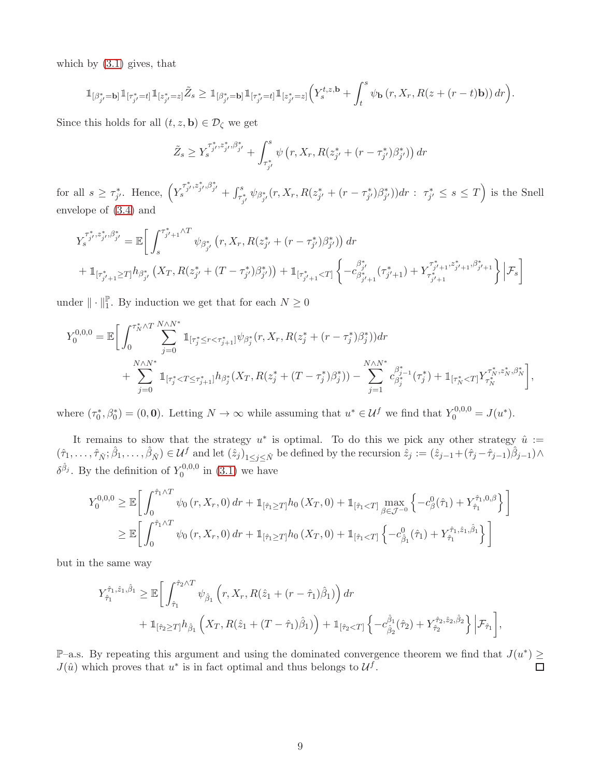which by [\(3.1\)](#page-5-0) gives, that

$$
\mathbbm{1}_{[\beta_{j'}^*=\mathbf{b}]} \mathbbm{1}_{[\tau_{j'}^* = t]} \mathbbm{1}_{[z_{j'}^* = z]} \tilde{Z}_s \geq \mathbbm{1}_{[\beta_{j'}^*=\mathbf{b}]} \mathbbm{1}_{[\tau_{j'}^* = t]} \mathbbm{1}_{[z_{j'}^* = z]} \Big( Y_s^{t,z,\mathbf{b}} + \int_t^s \psi_\mathbf{b}\left(r,X_r, R(z + (r-t)\mathbf{b})\right) dr \Big).
$$

Since this holds for all  $(t, z, \mathbf{b}) \in \mathcal{D}_{\zeta}$  we get

$$
\tilde{Z}_s \geq Y_s^{\tau_{j'}^*, z_{j'}^*, \beta_{j'}^*} + \int_{\tau_{j'}^*}^s \psi\left(r, X_r, R(z_{j'}^* + (r - \tau_{j'}^*)\beta_{j'}^*)\right) dr
$$

for all  $s \geq \tau_{j'}^*$ . Hence,  $\left(Y_{s}^{\tau_{j'}^*, z_{j'}^*, \beta_{j'}^*} + \int_{\tau_{j'}^*}^s \psi_{\beta_{j'}^*}(r, X_r, R(z_{j'}^* + (r - \tau_{j'}^*)\beta_{j'}^*))dr : \tau_{j'}^* \leq s \leq T\right)$  is the Snell envelope of [\(3.4\)](#page-7-0) and

$$
Y_{s}^{\tau_{j'}^{*},z_{j'}^{*},\beta_{j'}^{*}} = \mathbb{E}\bigg[\int_{s}^{\tau_{j'+1}^{*}\wedge T} \psi_{\beta_{j'}^{*}}\left(r, X_{r}, R(z_{j'}^{*} + (r - \tau_{j'}^{*})\beta_{j'}^{*})\right) dr + \mathbb{1}_{[\tau_{j'+1}^{*} \geq T]} h_{\beta_{j'}^{*}}\left(X_{T}, R(z_{j'}^{*} + (T - \tau_{j'}^{*})\beta_{j'}^{*})\right) + \mathbb{1}_{[\tau_{j'+1}^{*} < T]} \left\{-c_{\beta_{j'+1}^{*}}^{*}(\tau_{j'+1}^{*}) + Y_{\tau_{j'+1}^{*}}^{\tau_{j'+1}^{*},z_{j'+1}^{*},\beta_{j'+1}^{*}}\right\} \bigg|\mathcal{F}_{s}\bigg]
$$

under  $\|\cdot\|_1^{\mathbb{P}}$ . By induction we get that for each  $N \geq 0$ 

$$
Y_0^{0,0,0} = \mathbb{E}\bigg[\int_0^{\tau_N^* \wedge T} \sum_{j=0}^{N \wedge N^*} \mathbb{1}_{[\tau_j^* \le r < \tau_{j+1}^*]} \psi_{\beta_j^*}(r, X_r, R(z_j^* + (r - \tau_j^*)\beta_j^*)) dr + \sum_{j=0}^{N \wedge N^*} \mathbb{1}_{[\tau_j^* < T \le \tau_{j+1}^*]} h_{\beta_j^*}(X_T, R(z_j^* + (T - \tau_j^*)\beta_j^*)) - \sum_{j=1}^{N \wedge N^*} c_{\beta_j^*}^{\beta_{j-1}^*}(\tau_j^*) + \mathbb{1}_{[\tau_N^* < T]} Y_{\tau_N^*}^{\tau_N^* \cdot z_N^*, \beta_N^*}\bigg],
$$

where  $(\tau_0^*, \beta_0^*) = (0, \mathbf{0})$ . Letting  $N \to \infty$  while assuming that  $u^* \in \mathcal{U}^f$  we find that  $Y_0^{0,0,0} = J(u^*)$ .

It remains to show that the strategy  $u^*$  is optimal. To do this we pick any other strategy  $\hat{u}$  :=  $(\hat{\tau}_1,\ldots,\hat{\tau}_{\hat{N}};\hat{\beta}_1,\ldots,\hat{\beta}_{\hat{N}}) \in \mathcal{U}^f$  and let  $(\hat{z}_j)_{1 \leq j \leq \hat{N}}$  be defined by the recursion  $\hat{z}_j := (\hat{z}_{j-1} + (\hat{\tau}_j - \hat{\tau}_{j-1})\hat{\beta}_{j-1}) \wedge$  $\delta^{\hat{\beta}_j}$ . By the definition of  $Y_0^{0,0,0}$  $_{0}^{\text{U},0,0}$  in [\(3.1\)](#page-5-0) we have

$$
Y_0^{0,0,0} \geq \mathbb{E}\bigg[\int_0^{\hat{\tau}_1 \wedge T} \psi_0(r, X_r, 0) dr + \mathbb{1}_{[\hat{\tau}_1 \geq T]} h_0(X_T, 0) + \mathbb{1}_{[\hat{\tau}_1 < T]} \max_{\beta \in \mathcal{J}^{-0}} \left\{ -c_\beta^0(\hat{\tau}_1) + Y_{\hat{\tau}_1}^{\hat{\tau}_1,0,\beta} \right\} \bigg]
$$
  

$$
\geq \mathbb{E}\bigg[\int_0^{\hat{\tau}_1 \wedge T} \psi_0(r, X_r, 0) dr + \mathbb{1}_{[\hat{\tau}_1 \geq T]} h_0(X_T, 0) + \mathbb{1}_{[\hat{\tau}_1 < T]} \left\{ -c_{\hat{\beta}_1}^0(\hat{\tau}_1) + Y_{\hat{\tau}_1}^{\hat{\tau}_1, \hat{z}_1, \hat{\beta}_1} \right\} \bigg]
$$

but in the same way

$$
Y_{\hat{\tau}_1}^{\hat{\tau}_1, \hat{z}_1, \hat{\beta}_1} \geq \mathbb{E} \bigg[ \int_{\hat{\tau}_1}^{\hat{\tau}_2 \wedge T} \psi_{\hat{\beta}_1} \left( r, X_r, R(\hat{z}_1 + (r - \hat{\tau}_1) \hat{\beta}_1) \right) dr + \mathbb{1}_{[\hat{\tau}_2 \geq T]} h_{\hat{\beta}_1} \left( X_T, R(\hat{z}_1 + (T - \hat{\tau}_1) \hat{\beta}_1) \right) + \mathbb{1}_{[\hat{\tau}_2 < T]} \left\{ -c_{\hat{\beta}_2}^{\hat{\beta}_1}(\hat{\tau}_2) + Y_{\hat{\tau}_2}^{\hat{\tau}_2, \hat{z}_2, \hat{\beta}_2} \right\} \bigg| \mathcal{F}_{\hat{\tau}_1} \bigg],
$$

P–a.s. By repeating this argument and using the dominated convergence theorem we find that  $J(u^*) \geq$  $J(\hat{u})$  which proves that  $u^*$  is in fact optimal and thus belongs to  $\mathcal{U}^f$ .  $\Box$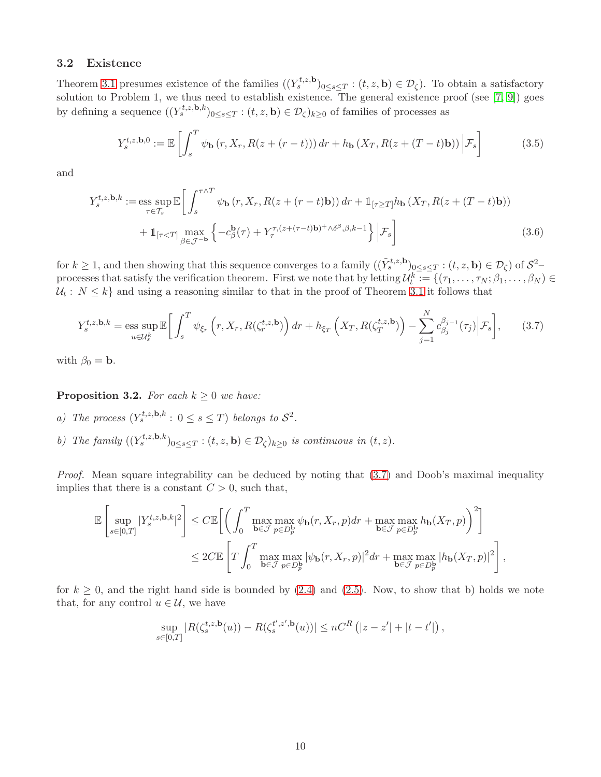#### 3.2 Existence

Theorem [3.1](#page-5-1) presumes existence of the families  $((Y_s^{t,z,\mathbf{b}})_{0\leq s\leq T} : (t,z,\mathbf{b}) \in \mathcal{D}_\zeta)$ . To obtain a satisfactory solution to Problem 1, we thus need to establish existence. The general existence proof (see [\[7,](#page-23-0) [9\]](#page-23-2)) goes by defining a sequence  $((Y_s^{t,z,\mathbf{b},k})_{0\leq s\leq T} : (t,z,\mathbf{b}) \in \mathcal{D}_{\zeta})_{k\geq 0}$  of families of processes as

<span id="page-9-2"></span><span id="page-9-1"></span>
$$
Y_s^{t,z,\mathbf{b},0} := \mathbb{E}\left[\int_s^T \psi_\mathbf{b}\left(r, X_r, R(z+(r-t))\right) dr + h_\mathbf{b}\left(X_T, R(z+(T-t)\mathbf{b})\right) \Big| \mathcal{F}_s\right] \tag{3.5}
$$

and

$$
Y_s^{t,z,\mathbf{b},k} := \underset{\tau \in \mathcal{T}_s}{\text{ess sup}} \mathbb{E} \bigg[ \int_s^{\tau \wedge T} \psi_{\mathbf{b}} \left( r, X_r, R(z + (r - t)\mathbf{b}) \right) dr + \mathbb{1}_{[\tau \ge T]} h_{\mathbf{b}} \left( X_T, R(z + (T - t)\mathbf{b}) \right) + \mathbb{1}_{[\tau < T]} \underset{\beta \in \mathcal{J}^{-\mathbf{b}}}{\text{max}} \left\{ -c_{\beta}^{\mathbf{b}}(\tau) + Y_{\tau}^{\tau, (z + (\tau - t)\mathbf{b}) + \wedge \delta^{\beta}, \beta, k - 1} \right\} \bigg| \mathcal{F}_s \bigg] \tag{3.6}
$$

for  $k \geq 1$ , and then showing that this sequence converges to a family  $((\tilde{Y}_{s}^{t,z,\mathbf{b}})_{0 \leq s \leq T} : (t,z,\mathbf{b}) \in \mathcal{D}_{\zeta})$  of  $\mathcal{S}^{2}$ processes that satisfy the verification theorem. First we note that by letting  $\mathcal{U}_t^k := \{(\tau_1, \ldots, \tau_N; \beta_1, \ldots, \beta_N) \in$  $\mathcal{U}_t: N \leq k$  and using a reasoning similar to that in the proof of Theorem [3.1](#page-5-1) it follows that

<span id="page-9-0"></span>
$$
Y_s^{t,z,\mathbf{b},k} = \underset{u \in \mathcal{U}_s^k}{\text{ess sup}} \mathbb{E}\bigg[\int_s^T \psi_{\xi_r}\left(r, X_r, R(\zeta_r^{t,z,\mathbf{b}})\right) dr + h_{\xi_T}\left(X_T, R(\zeta_T^{t,z,\mathbf{b}})\right) - \sum_{j=1}^N c_{\beta_j}^{\beta_{j-1}}(\tau_j) \Big| \mathcal{F}_s\bigg],\tag{3.7}
$$

with  $\beta_0 = \mathbf{b}$ .

<span id="page-9-3"></span>**Proposition 3.2.** For each  $k \geq 0$  we have:

- *a*) The process  $(Y_s^{t,z,\mathbf{b},k} : 0 \leq s \leq T)$  belongs to  $S^2$ .
- *b)* The family  $((Y_s^{t,z,\mathbf{b},k})_{0\leq s\leq T} : (t,z,\mathbf{b}) \in \mathcal{D}_{\zeta})_{k\geq 0}$  is continuous in  $(t,z)$ .

*Proof.* Mean square integrability can be deduced by noting that  $(3.7)$  and Doob's maximal inequality implies that there is a constant  $C > 0$ , such that,

$$
\mathbb{E}\left[\sup_{s\in[0,T]}|Y_s^{t,z,\mathbf{b},k}|^2\right] \leq C \mathbb{E}\left[\left(\int_0^T \max_{\mathbf{b}\in\mathcal{J}}\max_{p\in D_p^{\mathbf{b}}} \psi_{\mathbf{b}}(r,X_r,p)dr + \max_{\mathbf{b}\in\mathcal{J}}\max_{p\in D_p^{\mathbf{b}}} h_{\mathbf{b}}(X_T,p)\right)^2\right]
$$
  

$$
\leq 2C \mathbb{E}\left[T\int_0^T \max_{\mathbf{b}\in\mathcal{J}}\max_{p\in D_p^{\mathbf{b}}} |\psi_{\mathbf{b}}(r,X_r,p)|^2dr + \max_{\mathbf{b}\in\mathcal{J}}\max_{p\in D_p^{\mathbf{b}}} |h_{\mathbf{b}}(X_T,p)|^2\right],
$$

for  $k \geq 0$ , and the right hand side is bounded by [\(2.4\)](#page-3-3) and [\(2.5\)](#page-3-1). Now, to show that b) holds we note that, for any control  $u \in \mathcal{U}$ , we have

$$
\sup_{s \in [0,T]} |R(\zeta_s^{t,z,\mathbf{b}}(u)) - R(\zeta_s^{t',z',\mathbf{b}}(u))| \le nC^R (|z - z'| + |t - t'|),
$$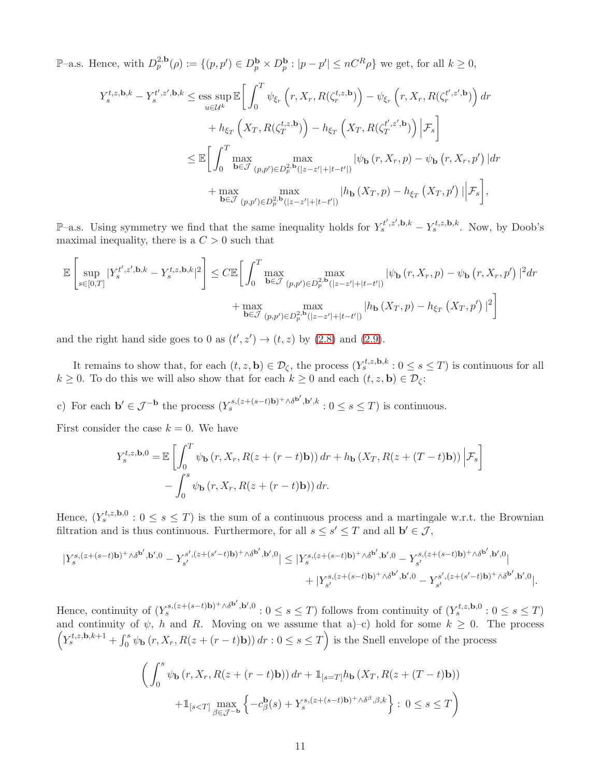P-a.s. Hence, with  $D_p^{2,\mathbf{b}}(\rho) := \{ (p, p') \in D_p^{\mathbf{b}} \times D_p^{\mathbf{b}} : |p - p'| \leq nC^R\rho \}$  we get, for all  $k \geq 0$ ,

$$
Y_s^{t,z,\mathbf{b},k} - Y_s^{t',z',\mathbf{b},k} \le \underset{u \in \mathcal{U}^k}{\text{ess sup}} \mathbb{E} \bigg[ \int_0^T \psi_{\xi_r} \left( r, X_r, R(\zeta_r^{t,z,\mathbf{b}}) \right) - \psi_{\xi_r} \left( r, X_r, R(\zeta_r^{t',z',\mathbf{b}}) \right) dr + h_{\xi_T} \left( X_T, R(\zeta_T^{t,z,\mathbf{b}}) \right) - h_{\xi_T} \left( X_T, R(\zeta_T^{t',z',\mathbf{b}}) \right) \bigg| \mathcal{F}_s \bigg] \le \mathbb{E} \bigg[ \int_0^T \max_{\mathbf{b} \in \mathcal{J}} \max_{(p,p') \in D_p^{2,\mathbf{b}}(|z-z'|+|t-t'|)} |\psi_{\mathbf{b}}(r, X_r, p) - \psi_{\mathbf{b}}(r, X_r, p')| dr + \max_{\mathbf{b} \in \mathcal{J}} \max_{(p,p') \in D_p^{2,\mathbf{b}}(|z-z'|+|t-t'|)} |h_{\mathbf{b}}(X_T, p) - h_{\xi_T} (X_T, p')| \bigg| \mathcal{F}_s \bigg],
$$

P–a.s. Using symmetry we find that the same inequality holds for  $Y_s^{t',z',b,k} - Y_s^{t,z,b,k}$ . Now, by Doob's maximal inequality, there is a  $C > 0$  such that

$$
\mathbb{E}\left[\sup_{s\in[0,T]}|Y_s^{t',z',\mathbf{b},k}-Y_s^{t,z,\mathbf{b},k}|^2\right] \leq C \mathbb{E}\left[\int_0^T \max_{\mathbf{b}\in\mathcal{J}}\max_{(p,p')\in D_p^{2,\mathbf{b}}(|z-z'|+|t-t'|)}|\psi_{\mathbf{b}}\left(r,X_r,p\right)-\psi_{\mathbf{b}}\left(r,X_r,p'\right)|^2dr + \max_{\mathbf{b}\in\mathcal{J}}\max_{(p,p')\in D_p^{2,\mathbf{b}}(|z-z'|+|t-t'|)}|h_{\mathbf{b}}\left(X_T,p\right)-h_{\xi_T}\left(X_T,p'\right)|^2\right]
$$

and the right hand side goes to 0 as  $(t', z') \rightarrow (t, z)$  by  $(2.8)$  and  $(2.9)$ .

It remains to show that, for each  $(t, z, \mathbf{b}) \in \mathcal{D}_{\zeta}$ , the process  $(Y_s^{t, z, \mathbf{b}, k} : 0 \leq s \leq T)$  is continuous for all  $k \geq 0$ . To do this we will also show that for each  $k \geq 0$  and each  $(t, z, \mathbf{b}) \in \mathcal{D}_{\zeta}$ :

c) For each  $\mathbf{b}' \in \mathcal{J}^{-\mathbf{b}}$  the process  $(Y_s^{s,(z+(s-t)\mathbf{b})^+\wedge \delta^{\mathbf{b}'},\mathbf{b}',k}: 0 \leq s \leq T)$  is continuous.

First consider the case  $k = 0$ . We have

$$
Y_s^{t,z,\mathbf{b},0} = \mathbb{E}\left[\int_0^T \psi_\mathbf{b}\left(r, X_r, R(z + (r - t)\mathbf{b})\right) dr + h_\mathbf{b}\left(X_T, R(z + (T - t)\mathbf{b})\right) \Big| \mathcal{F}_s\right] - \int_0^s \psi_\mathbf{b}\left(r, X_r, R(z + (r - t)\mathbf{b})\right) dr.
$$

Hence,  $(Y_s^{t,z,\mathbf{b},0} : 0 \leq s \leq T)$  is the sum of a continuous process and a martingale w.r.t. the Brownian filtration and is thus continuous. Furthermore, for all  $s \leq s' \leq T$  and all  $\mathbf{b}' \in \mathcal{J}$ ,

$$
\begin{aligned} \big|Y^{s,(z+(s-t){\bf b})^+ \wedge \delta^{{\bf b}'}, {\bf b}',0}-Y^{s',(z+(s'-t){\bf b})^+ \wedge \delta^{{\bf b}'}, {\bf b}',0}\\ &\qquad \qquad +\big|Y^{s,(z+(s-t){\bf b})^+ \wedge \delta^{{\bf b}'}, {\bf b}',0}-Y^{s,(z+(s-t){\bf b})^+ \wedge \delta^{{\bf b}'}, {\bf b}',0}\\ &\qquad \qquad +\big|Y^{s,(z+(s-t){\bf b})^+ \wedge \delta^{{\bf b}'}, {\bf b}',0}-Y^{s',(z+(s'-t){\bf b})^+ \wedge \delta^{{\bf b}'}, {\bf b}',0}\big|. \end{aligned}
$$

Hence, continuity of  $(Y_s^{s,(z+(s-t)b)^+\wedge\delta^{b'},b',0}: 0 \le s \le T)$  follows from continuity of  $(Y_s^{t,z,b,0}: 0 \le s \le T)$ and continuity of  $\psi$ , h and R. Moving on we assume that a)–c) hold for some  $k \geq 0$ . The process  $\left(Y_s^{t,z,\mathbf{b},k+1} + \int_0^s \psi_\mathbf{b}(r,X_r,R(z+(r-t)\mathbf{b})) dr : 0 \leq s \leq T\right)$  is the Snell envelope of the process

$$
\left(\int_0^s \psi_\mathbf{b}(r, X_r, R(z + (r - t)\mathbf{b})) dr + \mathbb{1}_{[s=T]} h_\mathbf{b}(X_T, R(z + (T - t)\mathbf{b}))
$$

$$
+ \mathbb{1}_{[s
$$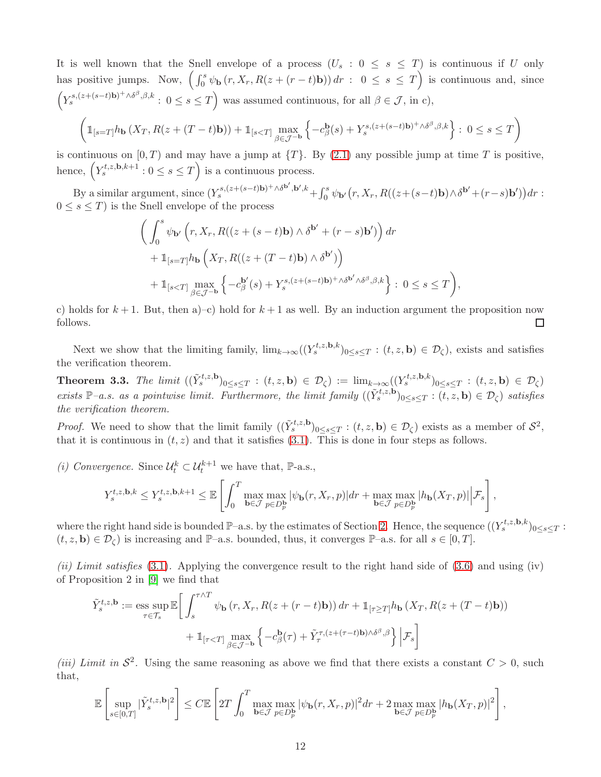It is well known that the Snell envelope of a process  $(U_s : 0 \le s \le T)$  is continuous if U only has positive jumps. Now,  $\left(\int_0^s \psi_\mathbf{b}(r, X_r, R(z + (r - t)\mathbf{b})) dr : 0 \leq s \leq T\right)$  is continuous and, since  $\left(Y_s^{s,(z+(s-t)\mathbf{b})^+\wedge \delta^{\beta},\beta,k}: 0 \leq s \leq T\right)$  was assumed continuous, for all  $\beta \in \mathcal{J}$ , in c),  $\sqrt{2}$  $\setminus$ 

$$
\left(\mathbb{1}_{[s=T]}h_{\mathbf{b}}\left(X_T, R(z+(T-t)\mathbf{b})\right)+\mathbb{1}_{[s
$$

is continuous on  $[0, T)$  and may have a jump at  $\{T\}$ . By  $(2.1)$  any possible jump at time T is positive, hence,  $(Y_s^{t,z,\mathbf{b},k+1}: 0 \leq s \leq T)$  is a continuous process.

By a similar argument, since  $(Y_s^{s,(z+(s-t)b)^+\wedge\delta^{b'},b',k} + \int_0^s \psi_{b'}(r,X_r,R((z+(s-t)b)\wedge\delta^{b'}+(r-s)b'))dr$ :  $0 \leq s \leq T$  is the Snell envelope of the process

$$
\left(\int_0^s \psi_{\mathbf{b}'}(r, X_r, R((z + (s - t)\mathbf{b}) \wedge \delta^{\mathbf{b}'} + (r - s)\mathbf{b}')\right) dr + \mathbb{1}_{[s=T]} h_{\mathbf{b}}\left(X_T, R((z + (T - t)\mathbf{b}) \wedge \delta^{\mathbf{b}'} )\right) + \mathbb{1}_{[s
$$

c) holds for  $k+1$ . But, then a)–c) hold for  $k+1$  as well. By an induction argument the proposition now follows.  $\Box$ 

Next we show that the limiting family,  $\lim_{k\to\infty} ((Y_s^{t,z,\mathbf{b},k})_{0\leq s\leq T} : (t,z,\mathbf{b}) \in \mathcal{D}_{\zeta})$ , exists and satisfies the verification theorem.

<span id="page-11-0"></span>**Theorem 3.3.** The limit  $((\tilde{Y}_{s}^{t,z,\mathbf{b}})_{0\leq s\leq T} : (t,z,\mathbf{b}) \in \mathcal{D}_{\zeta}) := \lim_{k\to\infty} ((Y_{s}^{t,z,\mathbf{b},k})_{0\leq s\leq T} : (t,z,\mathbf{b}) \in \mathcal{D}_{\zeta})$ *exists* P−a.s. as a pointwise limit. Furthermore, the limit family  $((\tilde{Y}_{s}^{t,z,\mathbf{b}})_{0\leq s\leq T} : (t,z,\mathbf{b}) \in \mathcal{D}_{\zeta})$  satisfies *the verification theorem.*

*Proof.* We need to show that the limit family  $((\tilde{Y}_{s}^{t,z,\mathbf{b}})_{0\leq s\leq T} : (t,z,\mathbf{b}) \in \mathcal{D}_{\zeta})$  exists as a member of  $\mathcal{S}^2$ , that it is continuous in  $(t, z)$  and that it satisfies [\(3.1\)](#page-5-0). This is done in four steps as follows.

*(i) Convergence.* Since  $\mathcal{U}_t^k \subset \mathcal{U}_t^{k+1}$  we have that, P-a.s.,

$$
Y_s^{t,z,\mathbf{b},k} \leq Y_s^{t,z,\mathbf{b},k+1} \leq \mathbb{E}\left[\int_0^T \max_{\mathbf{b}\in\mathcal{J}} \max_{p\in D_p^{\mathbf{b}}} |\psi_{\mathbf{b}}(r,X_r,p)| dr + \max_{\mathbf{b}\in\mathcal{J}} \max_{p\in D_p^{\mathbf{b}}} |h_{\mathbf{b}}(X_T,p)| \Big| \mathcal{F}_s\right],
$$

where the right hand side is bounded  $\mathbb{P}-a.s.$  by the estimates of Section [2.](#page-1-1) Hence, the sequence  $((Y_s^{t,z,\mathbf{b},k})_{0\leq s\leq T}$ :  $(t, z, \mathbf{b}) \in \mathcal{D}_{\zeta}$  is increasing and P–a.s. bounded, thus, it converges P–a.s. for all  $s \in [0, T]$ .

*(ii) Limit satisfies* [\(3.1\)](#page-5-0)*.* Applying the convergence result to the right hand side of [\(3.6\)](#page-9-1) and using (iv) of Proposition 2 in [\[9\]](#page-23-2) we find that

$$
\tilde{Y}_{s}^{t,z,\mathbf{b}} := \underset{\tau \in \mathcal{T}_{s}}{\mathrm{ess}} \sup \mathbb{E} \bigg[ \int_{s}^{\tau \wedge T} \psi_{\mathbf{b}} \left( r, X_{r}, R(z + (r - t)\mathbf{b}) \right) dr + \mathbb{1}_{[\tau \geq T]} h_{\mathbf{b}} \left( X_{T}, R(z + (T - t)\mathbf{b}) \right) \n+ \mathbb{1}_{[\tau < T]} \max_{\beta \in \mathcal{J}^{-\mathbf{b}}} \left\{ -c_{\beta}^{\mathbf{b}}(\tau) + \tilde{Y}_{\tau}^{\tau,(z + (\tau - t)\mathbf{b}) \wedge \delta^{\beta}, \beta} \right\} \bigg| \mathcal{F}_{s} \bigg]
$$

*(iii) Limit in*  $S^2$ . Using the same reasoning as above we find that there exists a constant  $C > 0$ , such that,

$$
\mathbb{E}\left[\sup_{s\in[0,T]}|\tilde{Y}_{s}^{t,z,\mathbf{b}}|^{2}\right] \leq C \mathbb{E}\left[2T\int_{0}^{T} \max_{\mathbf{b}\in\mathcal{J}}\max_{p\in D_{p}^{\mathbf{b}}}|\psi_{\mathbf{b}}(r,X_{r},p)|^{2}dr + 2\max_{\mathbf{b}\in\mathcal{J}}\max_{p\in D_{p}^{\mathbf{b}}} |h_{\mathbf{b}}(X_{T},p)|^{2}\right],
$$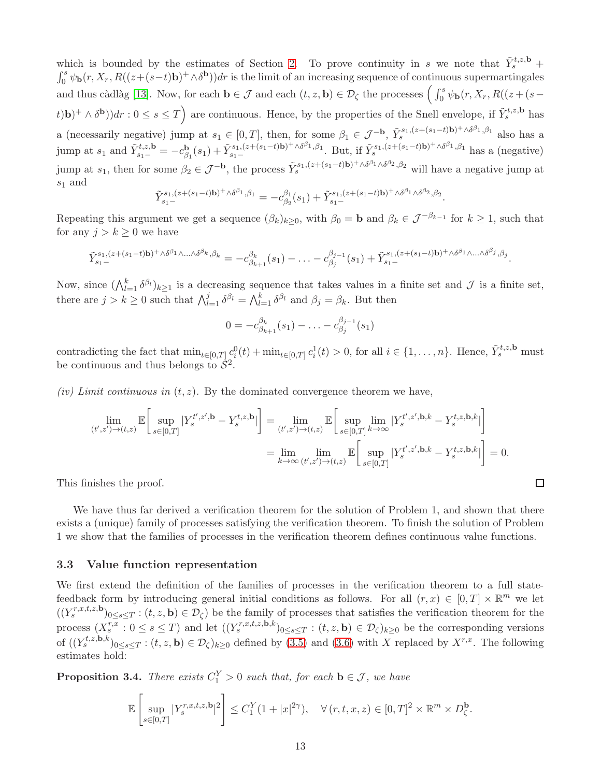which is bounded by the estimates of Section [2.](#page-1-1) To prove continuity in s we note that  $\tilde{Y}_{s}^{t,z,\mathbf{b}}$  +  $\int_0^s \psi_{\bf b}(r,X_r, R((z+(s-t){\bf b})^+ \wedge \delta^{\bf b}))dr$  is the limit of an increasing sequence of continuous supermartingales and thus càdlàg [\[13\]](#page-23-14). Now, for each  $\mathbf{b} \in \mathcal{J}$  and each  $(t, z, \mathbf{b}) \in \mathcal{D}_{\zeta}$  the processes  $\left( \int_0^s \psi_{\mathbf{b}}(r, X_r, R((z + (s (t)$ b)<sup>+</sup>  $\wedge \delta^{\bf b}$ )) $dr$ :  $0 \le s \le T$  are continuous. Hence, by the properties of the Snell envelope, if  $\tilde{Y}_{s}^{t,z,\bf b}$  has a (necessarily negative) jump at  $s_1 \in [0,T]$ , then, for some  $\beta_1 \in \mathcal{J}^{-\mathbf{b}}$ ,  $\tilde{Y}_s^{s_1,(z+(s_1-t)\mathbf{b})^+\wedge \delta^{\beta_1},\beta_1}$  also has a jump at  $s_1$  and  $\tilde{Y}_{s_1-}^{t,z,\mathbf{b}} = -c_{\beta}^{\mathbf{b}}$  $\beta_1(s_1) + \tilde{Y}_{s_1-}^{s_1,(z + (s_1-t)\mathbf{b})^+ \wedge \delta^{\beta_1}, \beta_1}$ . But, if  $\tilde{Y}_s^{s_1,(z + (s_1-t)\mathbf{b})^+ \wedge \delta^{\beta_1}, \beta_1}$  has a (negative) jump at  $s_1$ , then for some  $\beta_2 \in \mathcal{J}^{-\mathbf{b}}$ , the process  $\tilde{Y}_{s}^{s_1,(z+(s_1-t)\mathbf{b})^+\wedge \delta^{\beta_1}\wedge \delta^{\beta_2},\beta_2}$  will have a negative jump at  $s_1$  and

$$
\tilde{Y}_{s_{1}-}^{s_{1},(z+(s_{1}-t)\mathbf{b})^{+}\wedge\delta^{\beta_{1}},\beta_{1}}=-c^{\beta_{1}}_{\beta_{2}}(s_{1})+\tilde{Y}_{s_{1}-}^{s_{1},(z+(s_{1}-t)\mathbf{b})^{+}\wedge\delta^{\beta_{1}}\wedge\delta^{\beta_{2}},\beta_{2}}.
$$

Repeating this argument we get a sequence  $(\beta_k)_{k\geq 0}$ , with  $\beta_0 = \mathbf{b}$  and  $\beta_k \in \mathcal{J}^{-\beta_{k-1}}$  for  $k \geq 1$ , such that for any  $j > k \geq 0$  we have

$$
\tilde{Y}_{s_1-}^{s_1,(z+(s_1-t)\mathbf{b})^+ \wedge \delta^{\beta_1} \wedge ... \wedge \delta^{\beta_k},\beta_k} = -c_{\beta_{k+1}}^{\beta_k}(s_1) - ... - c_{\beta_j}^{\beta_{j-1}}(s_1) + \tilde{Y}_{s_1-}^{s_1,(z+(s_1-t)\mathbf{b})^+ \wedge \delta^{\beta_1} \wedge ... \wedge \delta^{\beta_j},\beta_j}.
$$

Now, since  $(\bigwedge_{l=1}^k \delta^{\beta_l})_{k\geq 1}$  is a decreasing sequence that takes values in a finite set and  $\mathcal J$  is a finite set, there are  $j > k \geq 0$  such that  $\bigwedge_{l=1}^{j} \delta^{\beta_l} = \bigwedge_{l=1}^{k} \delta^{\beta_l}$  and  $\beta_j = \beta_k$ . But then

$$
0 = -c_{\beta_{k+1}}^{\beta_k}(s_1) - \ldots - c_{\beta_j}^{\beta_{j-1}}(s_1)
$$

contradicting the fact that  $\min_{t \in [0,T]} c_i^0(t) + \min_{t \in [0,T]} c_i^1(t) > 0$ , for all  $i \in \{1, \ldots, n\}$ . Hence,  $\tilde{Y}_s^{t,z,b}$  must be continuous and thus belongs to  $\dot{\mathcal{S}}^2$ .

*(iv) Limit continuous in*  $(t, z)$ *.* By the dominated convergence theorem we have,

$$
\lim_{(t',z')\to(t,z)} \mathbb{E}\bigg[\sup_{s\in[0,T]}|Y_s^{t',z',\mathbf{b}} - Y_s^{t,z,\mathbf{b}}| \bigg] = \lim_{(t',z')\to(t,z)} \mathbb{E}\bigg[\sup_{s\in[0,T]} \lim_{k\to\infty} |Y_s^{t',z',\mathbf{b},k} - Y_s^{t,z,\mathbf{b},k}| \bigg]
$$
\n
$$
= \lim_{k\to\infty} \lim_{(t',z')\to(t,z)} \mathbb{E}\bigg[\sup_{s\in[0,T]} |Y_s^{t',z',\mathbf{b},k} - Y_s^{t,z,\mathbf{b},k}| \bigg] = 0.
$$

This finishes the proof.

We have thus far derived a verification theorem for the solution of Problem 1, and shown that there exists a (unique) family of processes satisfying the verification theorem. To finish the solution of Problem 1 we show that the families of processes in the verification theorem defines continuous value functions.

#### 3.3 Value function representation

We first extend the definition of the families of processes in the verification theorem to a full statefeedback form by introducing general initial conditions as follows. For all  $(r, x) \in [0, T] \times \mathbb{R}^m$  we let  $((Y_s^{r,x,t,z,\mathbf{b}})_{0\leq s\leq T}:(t,z,\mathbf{b})\in\mathcal{D}_\zeta)$  be the family of processes that satisfies the verification theorem for the process  $(X_s^{r,x}: 0 \le s \le T)$  and let  $((Y_s^{r,x,t,z,\mathbf{b},k})_{0 \le s \le T} : (t,z,\mathbf{b}) \in \mathcal{D}_{\zeta})_{k \ge 0}$  be the corresponding versions of  $((Y_s^{t,z,\mathbf{b},k})_{0\leq s\leq T}:(t,z,\mathbf{b})\in\mathcal{D}_{\zeta})_{k\geq 0}$  defined by  $(3.5)$  and  $(3.6)$  with X replaced by  $X^{r,x}$ . The following estimates hold:

<span id="page-12-0"></span>**Proposition 3.4.** *There exists*  $C_1^Y > 0$  *such that, for each*  $\mathbf{b} \in \mathcal{J}$ *, we have* 

$$
\mathbb{E}\left[\sup_{s\in[0,T]}|Y_s^{r,x,t,z,\mathbf{b}}|^2\right]\leq C_1^Y(1+|x|^{2\gamma}),\quad\forall (r,t,x,z)\in[0,T]^2\times\mathbb{R}^m\times D_{\zeta}^{\mathbf{b}}.
$$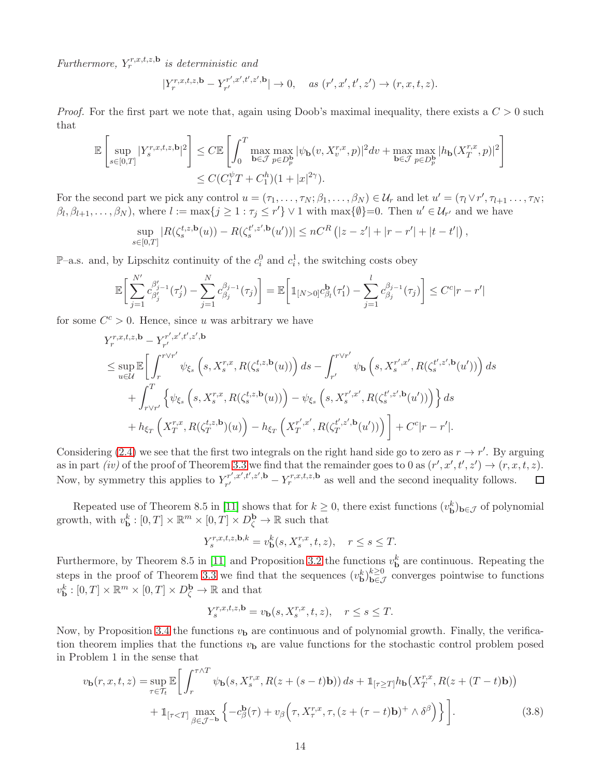$Furthermore, Y_r^{r,x,t,z,\mathbf{b}}$  *is deterministic and* 

$$
|Y_r^{r,x,t,z,\mathbf{b}} - Y_{r'}^{r',x',t',z',\mathbf{b}}| \to 0, \quad \text{as } (r',x',t',z') \to (r,x,t,z).
$$

*Proof.* For the first part we note that, again using Doob's maximal inequality, there exists a  $C > 0$  such that

$$
\mathbb{E}\left[\sup_{s\in[0,T]}|Y_s^{r,x,t,z,\mathbf{b}}|^2\right] \leq C \mathbb{E}\left[\int_0^T \max_{\mathbf{b}\in\mathcal{J}}\max_{p\in D_p^{\mathbf{b}}}|\psi_{\mathbf{b}}(v,X_v^{r,x},p)|^2 dv + \max_{\mathbf{b}\in\mathcal{J}}\max_{p\in D_p^{\mathbf{b}}} |h_{\mathbf{b}}(X_T^{r,x},p)|^2\right]
$$
  

$$
\leq C(C_1^{\psi}T+C_1^h)(1+|x|^{2\gamma}).
$$

For the second part we pick any control  $u = (\tau_1, \ldots, \tau_N; \beta_1, \ldots, \beta_N) \in \mathcal{U}_r$  and let  $u' = (\tau_1 \vee r', \tau_{l+1} \ldots, \tau_N; \beta_l, \ldots, \beta_N)$  $\beta_l, \beta_{l+1}, \ldots, \beta_N$ , where  $l := \max\{j \geq 1 : \tau_j \leq r'\} \vee 1$  with  $\max\{\emptyset\}=0$ . Then  $u' \in \mathcal{U}_{r'}$  and we have

$$
\sup_{s \in [0,T]} |R(\zeta_s^{t,z,\mathbf{b}}(u)) - R(\zeta_s^{t',z',\mathbf{b}}(u'))| \le nC^R (|z - z'| + |r - r'| + |t - t'|),
$$

 $\mathbb{P}-a.s.$  and, by Lipschitz continuity of the  $c_i^0$  and  $c_i^1$ , the switching costs obey

$$
\mathbb{E}\bigg[\sum_{j=1}^{N'} c_{\beta'_j}^{\beta'_{j-1}}(\tau'_j) - \sum_{j=1}^{N} c_{\beta_j}^{\beta_{j-1}}(\tau_j)\bigg] = \mathbb{E}\bigg[\mathbb{1}_{[N>0]}c_{\beta_l}^{\mathbf{b}}(\tau'_1) - \sum_{j=1}^{l} c_{\beta_j}^{\beta_{j-1}}(\tau_j)\bigg] \le C^c|r - r'|
$$

for some  $C^c > 0$ . Hence, since u was arbitrary we have

$$
\begin{split} &Y_r^{r,x,t,z,\mathbf{b}} - Y_{r'}^{r',x',t',z',\mathbf{b}} \\ &\leq \sup_{u\in\mathcal{U}}\mathbb{E}\bigg[\int_r^{r\vee r'}\psi_{\xi_s}\left(s,X_s^{r,x},R(\zeta_s^{t,z,\mathbf{b}}(u))\right)ds - \int_{r'}^{r\vee r'}\psi_{\mathbf{b}}\left(s,X_s^{r',x'},R(\zeta_s^{t',z',\mathbf{b}}(u'))\right)ds \\ &\quad + \int_{r\vee r'}^T\left\{\psi_{\xi_s}\left(s,X_s^{r,x},R(\zeta_s^{t,z,\mathbf{b}}(u))\right) - \psi_{\xi_s}\left(s,X_s^{r',x'},R(\zeta_s^{t',z',\mathbf{b}}(u'))\right)\right\}ds \\ &\quad + h_{\xi_T}\left(X_T^{r,x},R(\zeta_T^{t,z,\mathbf{b}})(u)\right) - h_{\xi_T}\left(X_T^{r',x'},R(\zeta_T^{t',z',\mathbf{b}}(u'))\right)\bigg] + C^c|r-r'|. \end{split}
$$

Considering [\(2.4\)](#page-3-3) we see that the first two integrals on the right hand side go to zero as  $r \to r'$ . By arguing as in part *(iv)* of the proof of Theorem [3.3](#page-11-0) we find that the remainder goes to 0 as  $(r', x', t', z') \rightarrow (r, x, t, z)$ . Now, by symmetry this applies to  $Y_{r'}^{r',x',t',z',b}$  $r^{r',x',t',z',\mathbf{b}}_{r'} - Y_r^{r,x,t,z,\mathbf{b}}$  as well and the second inequality follows.

Repeated use of Theorem 8.5 in [\[11\]](#page-23-15) shows that for  $k \geq 0$ , there exist functions  $(v_{\mathbf{b}}^k)_{\mathbf{b}\in\mathcal{J}}$  of polynomial growth, with  $v_{\mathbf{b}}^k : [0, T] \times \mathbb{R}^m \times [0, T] \times D_{\zeta}^{\mathbf{b}} \to \mathbb{R}$  such that

$$
Y^{r,x,t,z,\mathbf{b},k}_s=v^k_{\mathbf{b}}(s,X^{r,x}_s,t,z),\quad r\leq s\leq T.
$$

Furthermore, by Theorem 8.5 in [\[11\]](#page-23-15) and Proposition [3.2](#page-9-3) the functions  $v_{\mathbf{b}}^k$  are continuous. Repeating the steps in the proof of Theorem [3.3](#page-11-0) we find that the sequences  $(v_{\mathbf{b}}^k)_{\mathbf{b}\in\mathcal{J}}^{k\geq0}$  converges pointwise to functions  $v_{\mathbf{b}}^{k}:[0,T]\times\mathbb{R}^{m}\times[0,T]\times D_{\zeta}^{\mathbf{b}}\to\mathbb{R}$  and that

<span id="page-13-0"></span>
$$
Y_s^{r,x,t,z,\mathbf{b}} = v_\mathbf{b}(s,X_s^{r,x},t,z), \quad r \le s \le T.
$$

Now, by Proposition [3.4](#page-12-0) the functions  $v<sub>b</sub>$  are continuous and of polynomial growth. Finally, the verification theorem implies that the functions  $v<sub>b</sub>$  are value functions for the stochastic control problem posed in Problem 1 in the sense that

$$
v_{\mathbf{b}}(r,x,t,z) = \sup_{\tau \in \mathcal{T}_t} \mathbb{E} \bigg[ \int_r^{\tau \wedge T} \psi_{\mathbf{b}}(s, X_s^{r,x}, R(z + (s - t)\mathbf{b})) ds + \mathbb{1}_{[\tau \ge T]} h_{\mathbf{b}}(X_T^{r,x}, R(z + (T - t)\mathbf{b})) + \mathbb{1}_{[\tau < T]} \max_{\beta \in \mathcal{J}^{-\mathbf{b}}} \left\{ -c_{\beta}^{\mathbf{b}}(\tau) + v_{\beta} \left( \tau, X_{\tau}^{r,x}, \tau, (z + (\tau - t)\mathbf{b})^+ \wedge \delta^{\beta} \right) \right\} \bigg]. \tag{3.8}
$$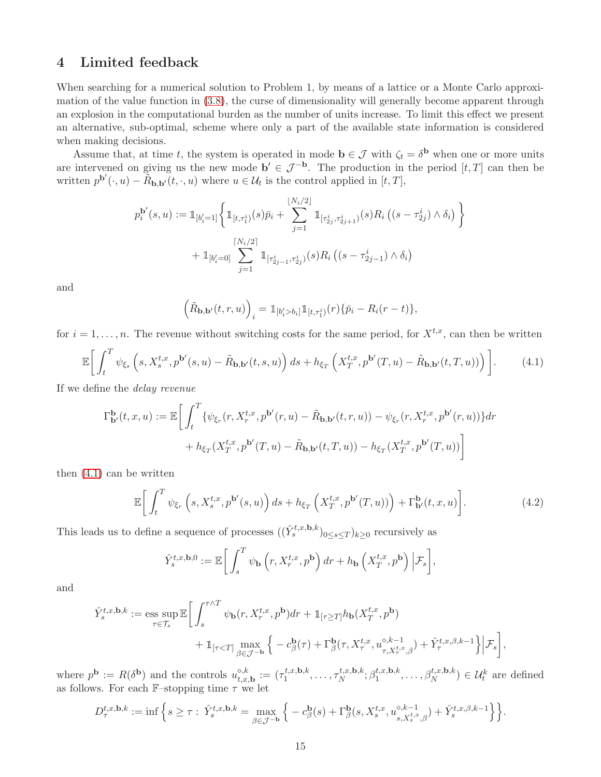# 4 Limited feedback

When searching for a numerical solution to Problem 1, by means of a lattice or a Monte Carlo approximation of the value function in [\(3.8\)](#page-13-0), the curse of dimensionality will generally become apparent through an explosion in the computational burden as the number of units increase. To limit this effect we present an alternative, sub-optimal, scheme where only a part of the available state information is considered when making decisions.

Assume that, at time t, the system is operated in mode  $\mathbf{b} \in \mathcal{J}$  with  $\zeta_t = \delta^{\mathbf{b}}$  when one or more units are intervened on giving us the new mode  $\mathbf{b}' \in \mathcal{J}^{-\mathbf{b}}$ . The production in the period  $[t, T]$  can then be written  $p^{\mathbf{b}'}(\cdot, u) - \tilde{R}_{\mathbf{b}, \mathbf{b}'}(t, \cdot, u)$  where  $u \in \mathcal{U}_t$  is the control applied in  $[t, T]$ ,

$$
p_i^{\mathbf{b}'}(s, u) := \mathbb{1}_{[b_i'=1]} \bigg\{ \mathbb{1}_{[t, \tau_1^i)}(s) \bar{p}_i + \sum_{j=1}^{\lfloor N_i/2 \rfloor} \mathbb{1}_{[\tau_{2j}^i, \tau_{2j+1}^i)}(s) R_i \left( (s - \tau_{2j}^i) \wedge \delta_i \right) \bigg\}
$$

$$
+ \mathbb{1}_{[b_i'=0]} \sum_{j=1}^{\lceil N_i/2 \rceil} \mathbb{1}_{[\tau_{2j-1}^i, \tau_{2j}^i)}(s) R_i \left( (s - \tau_{2j-1}^i) \wedge \delta_i \right)
$$

and

<span id="page-14-0"></span>
$$
\left(\tilde{R}_{\mathbf{b},\mathbf{b}'}(t,r,u)\right)_i = \mathbb{1}_{[b'_i > b_i]} \mathbb{1}_{[t,\tau_1^i)}(r) \{\bar{p}_i - R_i(r-t)\},\,
$$

for  $i = 1, \ldots, n$ . The revenue without switching costs for the same period, for  $X^{t,x}$ , can then be written

$$
\mathbb{E}\bigg[\int_t^T \psi_{\xi_s}\left(s, X_s^{t,x}, p^{\mathbf{b}'}(s,u) - \tilde{R}_{\mathbf{b},\mathbf{b}'}(t,s,u)\right)ds + h_{\xi_T}\left(X_T^{t,x}, p^{\mathbf{b}'}(T,u) - \tilde{R}_{\mathbf{b},\mathbf{b}'}(t,T,u))\right)\bigg].\tag{4.1}
$$

If we define the *delay revenue*

$$
\Gamma_{\mathbf{b}'}^{\mathbf{b}}(t,x,u) := \mathbb{E}\bigg[\int_{t}^{T} \{ \psi_{\xi_r}(r, X_r^{t,x}, p^{\mathbf{b}'}(r,u) - \tilde{R}_{\mathbf{b},\mathbf{b}'}(t,r,u)) - \psi_{\xi_r}(r, X_r^{t,x}, p^{\mathbf{b}'}(r,u)) \} dr + h_{\xi_T}(X_T^{t,x}, p^{\mathbf{b}'}(T,u) - \tilde{R}_{\mathbf{b},\mathbf{b}'}(t,T,u)) - h_{\xi_T}(X_T^{t,x}, p^{\mathbf{b}'}(T,u)) \bigg]
$$

then [\(4.1\)](#page-14-0) can be written

$$
\mathbb{E}\bigg[\int_t^T \psi_{\xi_r}\left(s, X_s^{t,x}, p^{\mathbf{b}'}(s,u)\right)ds + h_{\xi_T}\left(X_T^{t,x}, p^{\mathbf{b}'}(T,u)\right)\bigg) + \Gamma_{\mathbf{b}'}^{\mathbf{b}}(t,x,u)\bigg].\tag{4.2}
$$

This leads us to define a sequence of processes  $((\hat{Y}_{s}^{t,x,\mathbf{b},k})_{0\leq s\leq T})_{k\geq 0}$  recursively as

$$
\hat{Y}_{s}^{t,x,\mathbf{b},0} := \mathbb{E}\bigg[\int_{s}^{T} \psi_{\mathbf{b}}\left(r, X_{r}^{t,x}, p^{\mathbf{b}}\right) dr + h_{\mathbf{b}}\left(X_{T}^{t,x}, p^{\mathbf{b}}\right) \Big| \mathcal{F}_{s}\bigg],
$$

and

$$
\begin{aligned} \hat{Y}^{t,x,\mathbf{b},k}_s := \underset{\tau \in \mathcal{T}_s}{\mathrm{ess~sup}} \, \mathbb{E}\bigg[ &\int_s^{\tau \wedge T} \psi_\mathbf{b}(r,X^{t,x}_r,p^\mathbf{b})dr + \mathbb{1}_{[\tau \geq T]} h_\mathbf{b}(X^{t,x}_T,p^\mathbf{b}) \\ &+ \mathbb{1}_{[\tau < T]} \max_{\beta \in \mathcal{J}^{-\mathbf{b}}} \Big\{ -c^{\mathbf{b}}_\beta(\tau) + \Gamma^{\mathbf{b}}_\beta(\tau,X^{t,x}_\tau,u^{\diamond,k-1}_{\tau,X^{t,x}_\tau,\beta}) + \hat{Y}^{t,x,\beta,k-1}_\tau \Big\} \Big| \mathcal{F}_s \bigg], \end{aligned}
$$

where  $p^{\mathbf{b}} := R(\delta^{\mathbf{b}})$  and the controls  $u_{t,x,\mathbf{b}}^{\diamond,k} := (\tau_1^{t,x,\mathbf{b},k})$  $\tau_1^{t,x,\mathbf{b},k}, \ldots, \tau_N^{t,x,\mathbf{b},k}$  $\kappa^{t,x,\mathbf{b},k}_{N}$ ;  $\beta_1^{t,x,\mathbf{b},k}$  $\mathcal{U}_1^{t,x,\mathbf{b},k}, \ldots, \beta_N^{t,x,\mathbf{b},k}) \in \mathcal{U}_t^k$  are defined as follows. For each  $\mathbb{F}-$ stopping time  $\tau$  we let

$$
D_{\tau}^{t,x,\mathbf{b},k} := \inf \Big\{ s \geq \tau : \ \hat{Y}_{s}^{t,x,\mathbf{b},k} = \max_{\beta \in \mathcal{J}^{-\mathbf{b}}} \Big\{ -c_{\beta}^{\mathbf{b}}(s) + \Gamma_{\beta}^{\mathbf{b}}(s,X_{s}^{t,x},u_{s,X_{s}^{t,x},\beta}^{\diamond,k-1}) + \hat{Y}_{s}^{t,x,\beta,k-1} \Big\} \Big\}.
$$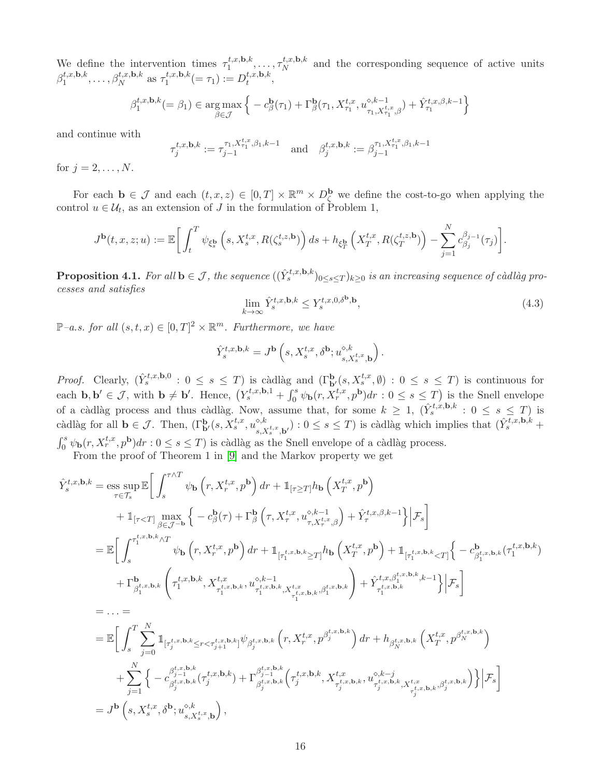We define the intervention times  $\tau_1^{t,x,\mathbf{b},k}$  $\tau_1^{t,x,\mathbf{b},k}, \ldots, \tau_N^{t,x,\mathbf{b},k}$  $N^{t,x,\mathbf{D},\kappa}$  and the corresponding sequence of active units  $\beta_1^{t,x,\mathbf{b},k}$  $t, x, b, k$ , ...,  $\beta_N^{t, x, b, k}$  as  $\tau_1^{t, x, b, k}$  $t^{t,x,\mathbf{b},k}_{1} (= \tau_1) := D_t^{t,x,\mathbf{b},k}$  $\iota^{(x,\mathbf{D},\kappa)}_t,$ 

$$
\beta_1^{t,x,\mathbf{b},k} (=\beta_1) \in \underset{\beta \in \mathcal{J}}{\arg \max} \left\{ -c^{\mathbf{b}}_{\beta}(\tau_1) + \Gamma^{\mathbf{b}}_{\beta}(\tau_1, X^{t,x}_{\tau_1}, u^{\diamond,k-1}_{\tau_1, X^{t,x}_{\tau_1},\beta}) + \hat{Y}^{t,x,\beta,k-1}_{\tau_1} \right\}
$$

and continue with

$$
\tau_j^{t,x,\mathbf{b},k} := \tau_{j-1}^{\tau_1, X_{\tau_1}^{t,x},\beta_1,k-1} \quad \text{and} \quad \beta_j^{t,x,\mathbf{b},k} := \beta_{j-1}^{\tau_1, X_{\tau_1}^{t,x},\beta_1,k-1}
$$

for  $j = 2, ..., N$ .

For each  $\mathbf{b} \in \mathcal{J}$  and each  $(t, x, z) \in [0, T] \times \mathbb{R}^m \times D_{\zeta}^{\mathbf{b}}$  we define the cost-to-go when applying the control  $u \in \mathcal{U}_t$ , as an extension of J in the formulation of Problem 1,

$$
J^{\mathbf{b}}(t,x,z;u) := \mathbb{E}\bigg[\int_t^T \psi_{\xi^{\mathbf{b}}_s}\left(s,X_s^{t,x},R(\zeta_s^{t,z,\mathbf{b}})\right)ds + h_{\xi^{\mathbf{b}}_T}\left(X_T^{t,x},R(\zeta_T^{t,z,\mathbf{b}})\right) - \sum_{j=1}^N c_{\beta_j}^{\beta_j-1}(\tau_j)\bigg].
$$

 $\bf{Proposition 4.1.}$  *For all*  $\mathbf{b} \in \mathcal{J}$ , the sequence  $((\hat{Y}_{s}^{t,x,\mathbf{b},k})_{0 \leq s \leq T})_{k \geq 0}$  is an increasing sequence of càdlàg pro*cesses and satisfies*

<span id="page-15-0"></span>
$$
\lim_{k \to \infty} \hat{Y}_s^{t,x,\mathbf{b},k} \le Y_s^{t,x,0,\delta^{\mathbf{b}},\mathbf{b}},\tag{4.3}
$$

 $\mathbb{P}-a.s.$  for all  $(s,t,x) \in [0,T]^2 \times \mathbb{R}^m$ . Furthermore, we have

$$
\hat{Y}_{s}^{t,x,\mathbf{b},k} = J^{\mathbf{b}}\left(s,X_{s}^{t,x},\delta^{\mathbf{b}};u_{s,X_{s}^{t,x},\mathbf{b}}^{\diamond,k}\right).
$$

*Proof.* Clearly,  $(\hat{Y}_{s}^{t,x,\mathbf{b},0} : 0 \leq s \leq T)$  is càdlàg and  $(\Gamma_{\mathbf{b}'}^{\mathbf{b}}(s, X_{s}^{t,x}, \emptyset) : 0 \leq s \leq T)$  is continuous for each  $\mathbf{b}, \mathbf{b}' \in \mathcal{J}$ , with  $\mathbf{b} \neq \mathbf{b}'$ . Hence,  $(Y_s^{t,x}, \mathbf{b}, 1 + \int_0^s \psi_\mathbf{b}(r, X_r^{t,x}, p^{\mathbf{b}}) dr : 0 \leq s \leq T)$  is the Snell envelope of a càdlàg process and thus càdlàg. Now, assume that, for some  $k \geq 1$ ,  $(\hat{Y}_{s}^{t,x},b,k : 0 \leq s \leq T)$  is càdlàg for all  $\mathbf{b} \in \mathcal{J}$ . Then,  $(\Gamma_{\mathbf{b}'}^{\mathbf{b}}(s, X_s^{t,x}, u_{s,\mathbf{b}}^{s,k}))$  $s, X_s^{t,x}, \mathbf{b}'$ ) :  $0 \leq s \leq T$ ) is càdlàg which implies that  $(\hat{Y}_s^{\overline{t},x,\mathbf{b},k} + \hat{Y}_s^{\overline{t},x,\mathbf{b},k})$  $\int_0^s \psi_{\bf b}(r, X_r^{t,x}, p^{\bf b}) dr : 0 \le s \le T$ ) is càdlàg as the Snell envelope of a càdlàg process.

From the proof of Theorem 1 in [\[9\]](#page-23-2) and the Markov property we get

$$
\hat{Y}_{s}^{t,x,\mathbf{b},k} = \underset{\tau \in \mathcal{T}_{s}}{\mathrm{ess}} \underset{\tau \in \mathcal{T}_{s}}{\mathrm{sup}} \mathbb{E} \bigg[ \int_{s}^{\tau \wedge T} \psi_{\mathbf{b}} \left( r, X_{r}^{t,x}, p^{\mathbf{b}} \right) dr + \mathbbm{1}_{[\tau \geq T]} h_{\mathbf{b}} \left( X_{T}^{t,x}, p^{\mathbf{b}} \right) \n+ \mathbbm{1}_{[\tau < T]} \underset{\beta \in \mathcal{J}^{-\mathbf{b}}} {\mathrm{max}} \left\{ -c_{\beta}^{\mathbf{b}}(\tau) + \Gamma_{\beta}^{\mathbf{b}} \left( \tau, X_{\tau}^{t,x}, u_{\tau, X_{\tau}^{t,x}, \beta}^{o,k-1} \right) + \hat{Y}_{\tau}^{t,x,\beta,k-1} \right\} \bigg| \mathcal{F}_{s} \bigg] \n= \mathbb{E} \bigg[ \int_{s}^{\tau_{1}^{t,x,\mathbf{b},k} \wedge T} \psi_{\mathbf{b}} \left( r, X_{r}^{t,x}, p^{\mathbf{b}} \right) dr + \mathbbm{1}_{[\tau_{1}^{t,x,\mathbf{b},k} \geq T]} h_{\mathbf{b}} \left( X_{T}^{t,x}, p^{\mathbf{b}} \right) + \mathbbm{1}_{[\tau_{1}^{t,x,\mathbf{b},k} < T]} \bigg\{ -c_{\beta_{1}^{t,x,\mathbf{b},k}}^{\mathbf{b}}(\tau_{1}^{t,x,\mathbf{b},k}) \\ + \Gamma_{\beta_{1}^{t,x,\mathbf{b},k}}^{\mathbf{b}} \left( \tau_{1}^{t,x,\mathbf{b},k}, X_{\tau_{1}^{t,x,\mathbf{b},k}}^{t,x}, u_{\gamma_{1}^{t,x,\mathbf{b},k}}^{\circ,k-1} \right) + \hat{Y}_{\tau_{1}^{t,x,\mathbf{b},k}}^{\mathbf{b},k} \bigg| + \hat{Y}_{\tau_{1}^{t,x,\mathbf{b},k}}^{\mathbf{b},k}(\tau_{1}^{t,x,\mathbf{b},k} - 1) \bigg| \mathcal{F}_{s} \bigg] \n= \ldots = \n= \mathbb{E} \bigg[ \int_{s}^{T} \sum_{j=0
$$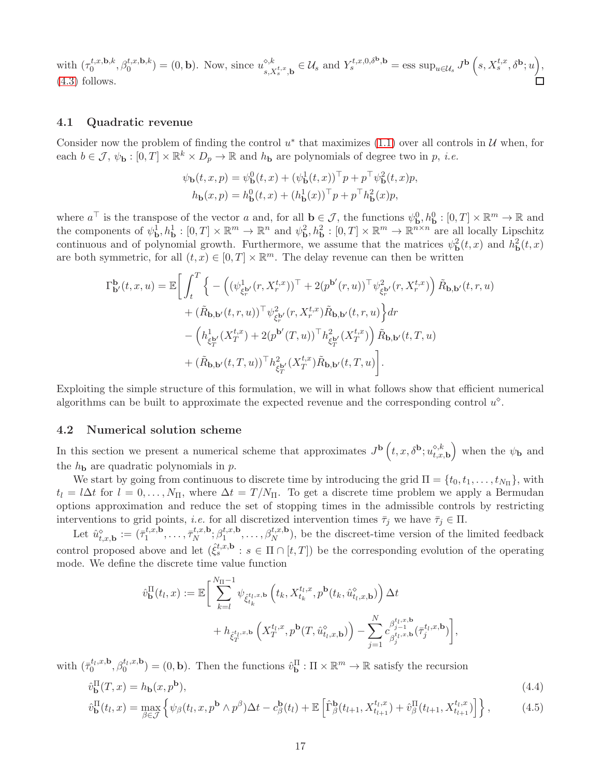with  $(\tau_0^{t,x,\mathbf{b},k})$  $\binom{t,x,\mathbf{b},k}{0}, \beta_0^{t,x,\mathbf{b},k}$  =  $(0,\mathbf{b})$ . Now, since  $u_{s,x}^{\diamond,k}$  $s, X_s^{t,x}, \mathbf{b} \in \mathcal{U}_s \text{ and } Y_s^{t,x,0,\delta^{\mathbf{b}}, \mathbf{b}} = \text{ess sup}_{u \in \mathcal{U}_s} J^{\mathbf{b}}\left(s, X_s^{t,x}, \delta^{\mathbf{b}}; u\right),$ [\(4.3\)](#page-15-0) follows.

#### <span id="page-16-2"></span>4.1 Quadratic revenue

Consider now the problem of finding the control  $u^*$  that maximizes [\(1.1\)](#page-1-0) over all controls in  $\mathcal U$  when, for each  $b \in \mathcal{J}, \psi_{\mathbf{b}} : [0, T] \times \mathbb{R}^k \times D_p \to \mathbb{R}$  and  $h_{\mathbf{b}}$  are polynomials of degree two in p, *i.e.* 

$$
\psi_{\mathbf{b}}(t, x, p) = \psi_{\mathbf{b}}^{0}(t, x) + (\psi_{\mathbf{b}}^{1}(t, x))^{\top} p + p^{\top} \psi_{\mathbf{b}}^{2}(t, x) p,
$$
  

$$
h_{\mathbf{b}}(x, p) = h_{\mathbf{b}}^{0}(t, x) + (h_{\mathbf{b}}^{1}(x))^{\top} p + p^{\top} h_{\mathbf{b}}^{2}(x) p,
$$

where  $a^{\top}$  is the transpose of the vector a and, for all  $\mathbf{b} \in \mathcal{J}$ , the functions  $\psi_{\mathbf{b}}^0, h_{\mathbf{b}}^0 : [0, T] \times \mathbb{R}^m \to \mathbb{R}$  and the components of  $\psi_{\mathbf{b}}^1, h_{\mathbf{b}}^1 : [0, T] \times \mathbb{R}^m \to \mathbb{R}^n$  and  $\psi_{\mathbf{b}}^2, h_{\mathbf{b}}^2 : [0, T] \times \mathbb{R}^m \to \mathbb{R}^{n \times n}$  are all locally Lipschitz continuous and of polynomial growth. Furthermore, we assume that the matrices  $\psi_{\mathbf{b}}^2(t,x)$  and  $h_{\mathbf{b}}^2(t,x)$ are both symmetric, for all  $(t, x) \in [0, T] \times \mathbb{R}^m$ . The delay revenue can then be written

$$
\Gamma_{\mathbf{b}'}^{\mathbf{b}}(t,x,u) = \mathbb{E}\bigg[\int_{t}^{T}\Big\{-\Big((\psi_{\xi_{r}^{\mathbf{b}'}}^{1}(r,X_{r}^{t,x}))^{\top} + 2(p^{\mathbf{b}'}(r,u))^{\top}\psi_{\xi_{r}^{\mathbf{b}'}}^{2}(r,X_{r}^{t,x})\Big)\,\tilde{R}_{\mathbf{b},\mathbf{b}'}(t,r,u) \n+ (\tilde{R}_{\mathbf{b},\mathbf{b}'}(t,r,u))^{\top}\psi_{\xi_{r}^{\mathbf{b}'}}^{2}(r,X_{r}^{t,x})\tilde{R}_{\mathbf{b},\mathbf{b}'}(t,r,u)\Big\}dr \n- \Big(h_{\xi_{T}^{\mathbf{b}'}}^{1}(X_{T}^{t,x}) + 2(p^{\mathbf{b}'}(T,u))^{\top}h_{\xi_{T}^{\mathbf{b}'}}^{2}(X_{T}^{t,x})\Big)\,\tilde{R}_{\mathbf{b},\mathbf{b}'}(t,T,u) \n+ (\tilde{R}_{\mathbf{b},\mathbf{b}'}(t,T,u))^{\top}h_{\xi_{T}^{\mathbf{b}'}}^{2}(X_{T}^{t,x})\tilde{R}_{\mathbf{b},\mathbf{b}'}(t,T,u)\bigg].
$$

Exploiting the simple structure of this formulation, we will in what follows show that efficient numerical algorithms can be built to approximate the expected revenue and the corresponding control  $u^{\diamond}$ .

#### 4.2 Numerical solution scheme

In this section we present a numerical scheme that approximates  $J^{\bf b}(t,x,\delta^{\bf b};u_{t,x,\bf b}^{\diamond,k})$  when the  $\psi_{\bf b}$  and the  $h_{\mathbf{b}}$  are quadratic polynomials in  $p$ .

We start by going from continuous to discrete time by introducing the grid  $\Pi = \{t_0, t_1, \ldots, t_{N_{\Pi}}\}$ , with  $t_l = l\Delta t$  for  $l = 0, \ldots, N_{\Pi}$ , where  $\Delta t = T/N_{\Pi}$ . To get a discrete time problem we apply a Bermudan options approximation and reduce the set of stopping times in the admissible controls by restricting interventions to grid points, *i.e.* for all discretized intervention times  $\bar{\tau}_j$  we have  $\bar{\tau}_j \in \Pi$ .

Let  $\hat{u}_{t,x,\mathbf{b}}^{\diamond} := (\bar{\tau}_1^{t,x,\mathbf{b}})$  $\bar{\tau}_1^{t,x,\mathbf{b}}, \ldots, \bar{\tau}_N^{t,x,\mathbf{b}}$  $\beta_1^{t,x,\mathbf{b}}$ ;  $\beta_1^{t,x,\mathbf{b}}$  $t_{1}^{t,x,\mathbf{b}}, \ldots, \beta_{N}^{t,x,\mathbf{b}}$ , be the discreet-time version of the limited feedback control proposed above and let  $(\hat{\xi}_s^{t,x,\mathbf{b}} : s \in \Pi \cap [t,T])$  be the corresponding evolution of the operating mode. We define the discrete time value function

<span id="page-16-1"></span><span id="page-16-0"></span>
$$
\hat{v}_{\mathbf{b}}^{\Pi}(t_l, x) := \mathbb{E}\bigg[\sum_{k=l}^{N_{\Pi}-1} \psi_{\hat{\xi}_{t_k}^{t_l, x, \mathbf{b}}}\left(t_k, X_{t_k}^{t_l, x}, p^{\mathbf{b}}(t_k, \hat{u}_{t_l, x, \mathbf{b}}^{\diamond})\right) \Delta t + h_{\hat{\xi}_{T}^{t_l, x, \mathbf{b}}}\left(X_{T}^{t_l, x}, p^{\mathbf{b}}(T, \hat{u}_{t_l, x, \mathbf{b}}^{\diamond})\right) - \sum_{j=1}^{N} c_{\beta_{j}^{t_l, x, \mathbf{b}}}^{\beta_{j-1}^{t_l, x, \mathbf{b}}}\left(\overline{\tau}_{j}^{t_l, x, \mathbf{b}}\right)\bigg],
$$

with  $(\bar{\tau}_0^{t_l,x,b})$  $\beta_0^{t_l,x,\mathbf{b}}, \beta_0^{t_l,x,\mathbf{b}}$  $\hat{v}_{\mathbf{0}}^{t_l,x,\mathbf{b}}$  = (0, **b**). Then the functions  $\hat{v}_{\mathbf{b}}^{\Pi} : \Pi \times \mathbb{R}^m \to \mathbb{R}$  satisfy the recursion

$$
\hat{v}_{\mathbf{b}}^{\Pi}(T,x) = h_{\mathbf{b}}(x, p^{\mathbf{b}}),\tag{4.4}
$$

$$
\hat{v}_{\mathbf{b}}^{\Pi}(t_l, x) = \max_{\beta \in \mathcal{J}} \left\{ \psi_{\beta}(t_l, x, p^{\mathbf{b}} \wedge p^{\beta}) \Delta t - c^{\mathbf{b}}_{\beta}(t_l) + \mathbb{E} \left[ \hat{\Gamma}_{\beta}^{\mathbf{b}}(t_{l+1}, X_{t_{l+1}}^{t_l, x}) + \hat{v}_{\beta}^{\Pi}(t_{l+1}, X_{t_{l+1}}^{t_l, x}) \right] \right\},\tag{4.5}
$$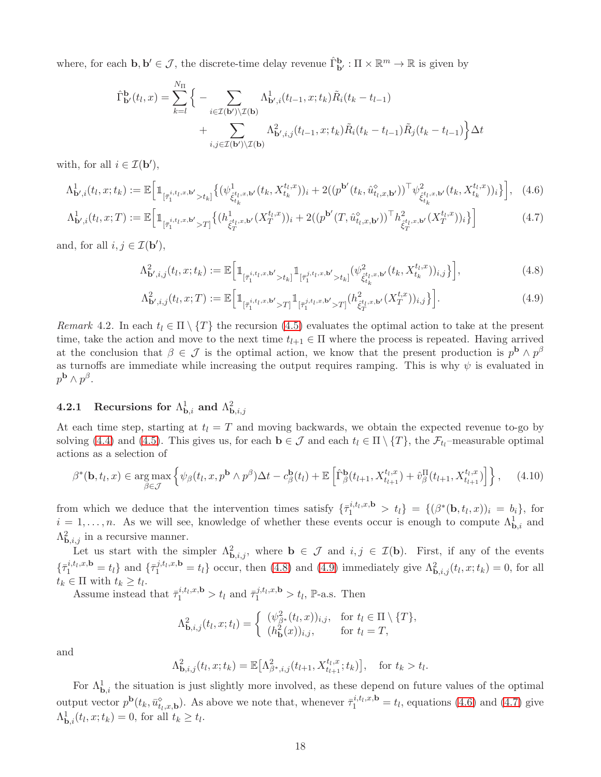where, for each  $\mathbf{b}, \mathbf{b}' \in \mathcal{J}$ , the discrete-time delay revenue  $\hat{\Gamma}_{\mathbf{b}'}^{\mathbf{b}} : \Pi \times \mathbb{R}^m \to \mathbb{R}$  is given by

$$
\hat{\Gamma}_{\mathbf{b}'}^{\mathbf{b}}(t_l, x) = \sum_{k=l}^{N_{\Pi}} \Big\{ - \sum_{i \in \mathcal{I}(\mathbf{b}')} \sum_{\mathcal{I}(\mathbf{b})} \Lambda_{\mathbf{b}',i}^1(t_{l-1}, x; t_k) \tilde{R}_i(t_k - t_{l-1}) + \sum_{i,j \in \mathcal{I}(\mathbf{b}')} \sum_{\mathcal{I}(\mathbf{b})} \Lambda_{\mathbf{b}',i,j}^2(t_{l-1}, x; t_k) \tilde{R}_i(t_k - t_{l-1}) \tilde{R}_j(t_k - t_{l-1}) \Big\} \Delta t
$$

with, for all  $i \in \mathcal{I}(\mathbf{b}'),$ 

$$
\Lambda_{\mathbf{b}',i}^{1}(t_{l},x;t_{k}) := \mathbb{E}\Big[\mathbb{1}_{[\bar{\tau}_{1}^{i,t_{l},x,\mathbf{b}'}>t_{k}]} \big\{ (\psi_{\xi_{t_{k}}^{t_{l},x,\mathbf{b}'}(t_{k},X_{t_{k}}^{t_{l},x}))_{i} + 2((p^{\mathbf{b}'}(t_{k},\hat{u}_{t_{l},x,\mathbf{b}'}^{2}))^{\top} \psi_{\xi_{t_{k}}^{t_{l},x,\mathbf{b}'}(t_{k},X_{t_{k}}^{t_{l},x}))_{i}}^{2}\big\}\Big],\quad(4.6)
$$

$$
\Lambda_{\mathbf{b}',i}^{1}(t_{l},x;T) := \mathbb{E}\Big[\mathbb{1}_{[\bar{\tau}_{1}^{i,t_{l},x,\mathbf{b}'} > T]} \big\{ (h_{\hat{\xi}_{T}^{t_{l},x,\mathbf{b}'}_{T}}^{1}(X_{T}^{t_{l},x}))_{i} + 2((p^{\mathbf{b}'}(T,\hat{u}_{t_{l},x,\mathbf{b}'}^{\diamond}))^{\top} h_{\hat{\xi}_{T}^{t_{l},x,\mathbf{b}'}_{T}}^{2}(X_{T}^{t_{l},x}))_{i} \big\}\Big]
$$
(4.7)

and, for all  $i, j \in \mathcal{I}(\mathbf{b}'),$ 

<span id="page-17-3"></span><span id="page-17-2"></span><span id="page-17-0"></span>
$$
\Lambda_{\mathbf{b}',i,j}^{2}(t_{l},x;t_{k}):=\mathbb{E}\Big[\mathbb{1}_{\left[\bar{\tau}_{1}^{i,t_{l},x,\mathbf{b}'}>t_{k}\right]}\mathbb{1}_{\left[\bar{\tau}_{1}^{j,t_{l},x,\mathbf{b}'}>t_{k}\right]}(\psi_{\hat{\xi}_{t_{k}}^{t_{l},x,\mathbf{b}'}}(t_{k},X_{t_{k}}^{t_{l},x}))_{i,j}\Big\}\Big],\tag{4.8}
$$

<span id="page-17-1"></span>
$$
\Lambda_{\mathbf{b}',i,j}^{2}(t_l,x;T) := \mathbb{E}\Big[\mathbb{1}_{\left[\bar{\tau}_1^{i,t_l,x,\mathbf{b}'} > T\right]} \mathbb{1}_{\left[\bar{\tau}_1^{j,t_l,x,\mathbf{b}'} > T\right]} \left(h_{\hat{\xi}_T^{t_l,x,\mathbf{b}'}}(X_T^{t,x})\right)_{i,j}\Big\}\Big].\tag{4.9}
$$

*Remark* 4.2. In each  $t_l \in \Pi \setminus \{T\}$  the recursion [\(4.5\)](#page-16-0) evaluates the optimal action to take at the present time, take the action and move to the next time  $t_{l+1} \in \Pi$  where the process is repeated. Having arrived at the conclusion that  $\beta \in \mathcal{J}$  is the optimal action, we know that the present production is  $p^{\mathbf{b}} \wedge p^{\beta}$ as turnoffs are immediate while increasing the output requires ramping. This is why  $\psi$  is evaluated in  $p^{\mathbf{b}} \wedge p^{\beta}$ .

# 4.2.1 Recursions for  $\Lambda^1_{\mathbf{b},i}$  and  $\Lambda^2_{\mathbf{b},i,j}$

At each time step, starting at  $t<sub>l</sub> = T$  and moving backwards, we obtain the expected revenue to-go by solving [\(4.4\)](#page-16-1) and [\(4.5\)](#page-16-0). This gives us, for each  $\mathbf{b} \in \mathcal{J}$  and each  $t_l \in \Pi \setminus \{T\}$ , the  $\mathcal{F}_{t_l}$ -measurable optimal actions as a selection of

$$
\beta^*(\mathbf{b}, t_l, x) \in \underset{\beta \in \mathcal{J}}{\arg \max} \left\{ \psi_\beta(t_l, x, p^{\mathbf{b}} \wedge p^{\beta}) \Delta t - c^{\mathbf{b}}_{\beta}(t_l) + \mathbb{E} \left[ \hat{\Gamma}^{\mathbf{b}}_{\beta}(t_{l+1}, X_{t_{l+1}}^{t_l, x}) + \hat{v}_{\beta}^{\Pi}(t_{l+1}, X_{t_{l+1}}^{t_l, x}) \right] \right\}, \quad (4.10)
$$

from which we deduce that the intervention times satisfy  $\{\bar{\tau}_1^{i,t_l,x,\mathbf{b}} > t_l\} = \{(\beta^*(\mathbf{b},t_l,x))_i = b_i\}$ , for  $i = 1, \ldots, n$ . As we will see, knowledge of whether these events occur is enough to compute  $\Lambda_{\mathbf{b},i}^1$  and  $\Lambda_{\mathbf{b},i,j}^2$  in a recursive manner.

Let us start with the simpler  $\Lambda^2_{\mathbf{b},i,j}$ , where  $\mathbf{b} \in \mathcal{J}$  and  $i,j \in \mathcal{I}(\mathbf{b})$ . First, if any of the events  $\{\bar{\tau}_1^{i,t_1,x,\mathbf{b}}=t_l\}$  and  $\{\bar{\tau}_1^{j,t_1,x,\mathbf{b}}=t_l\}$  occur, then [\(4.8\)](#page-17-0) and [\(4.9\)](#page-17-1) immediately give  $\Lambda_{\mathbf{b},i,j}^2(t_l,x;t_k)=0$ , for all  $t_k \in \Pi$  with  $t_k \geq t_l$ .

Assume instead that  $\bar{\tau}_1^{i,t_l,x,\mathbf{b}} > t_l$  and  $\bar{\tau}_1^{j,t_l,x,\mathbf{b}} > t_l$ ,  $\mathbb{P}\text{-a.s.}$  Then

$$
\Lambda_{\mathbf{b},i,j}^2(t_l,x;t_l) = \begin{cases} (\psi_{\beta^*}^2(t_l,x))_{i,j}, & \text{for } t_l \in \Pi \setminus \{T\}, \\ (h_{\mathbf{b}}^2(x))_{i,j}, & \text{for } t_l = T, \end{cases}
$$

and

$$
\Lambda_{\mathbf{b},i,j}^2(t_l,x;t_k) = \mathbb{E}\big[\Lambda_{\beta^*,i,j}^2(t_{l+1},X_{t_{l+1}}^{t_l,x};t_k)\big], \text{ for } t_k > t_l.
$$

For  $\Lambda_{\mathbf{b},i}^1$  the situation is just slightly more involved, as these depend on future values of the optimal output vector  $p^{\mathbf{b}}(t_k, \bar{u}_{t_k,x,\mathbf{b}}^{\diamond})$ . As above we note that, whenever  $\bar{\tau}_1^{i,t_k,x,\mathbf{b}} = t_l$ , equations [\(4.6\)](#page-17-2) and [\(4.7\)](#page-17-3) give  $\Lambda_{\mathbf{b},i}^1(t_l,x;t_k) = 0$ , for all  $t_k \geq t_l$ .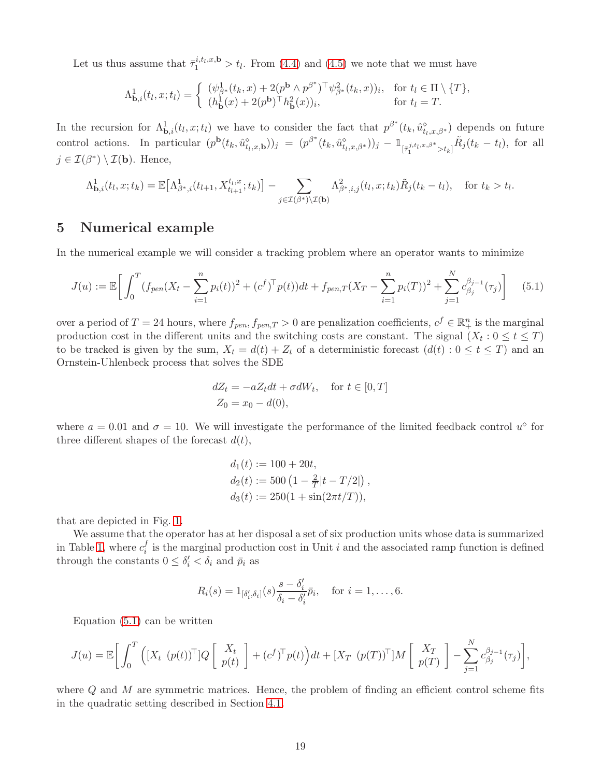Let us thus assume that  $\bar{\tau}_1^{i,t_l,x,\mathbf{b}} > t_l$ . From [\(4.4\)](#page-16-1) and [\(4.5\)](#page-16-0) we note that we must have

$$
\Lambda_{\mathbf{b},i}^1(t_l,x;t_l) = \begin{cases} (\psi_{\beta^*}^1(t_k,x) + 2(p^{\mathbf{b}} \wedge p^{\beta^*})^\top \psi_{\beta^*}^2(t_k,x))_i, & \text{for } t_l \in \Pi \setminus \{T\}, \\ (h_{\mathbf{b}}^1(x) + 2(p^{\mathbf{b}})^\top h_{\mathbf{b}}^2(x))_i, & \text{for } t_l = T. \end{cases}
$$

In the recursion for  $\Lambda_{\mathbf{b},i}^1(t_l,x;t_l)$  we have to consider the fact that  $p^{\beta^*}(t_k,\hat{u}_{t_l,x,\beta^*}^{\diamond})$  depends on future control actions. In particular  $(p^{\mathbf{b}}(t_k, \hat{u}_{t_l,x,\mathbf{b}}^{\mathbf{o}}))_j = (p^{\beta^*}(t_k, \hat{u}_{t_l,x,\beta^*}^{\mathbf{o}}))_j - \mathbb{1}_{[\bar{\tau}_1^{j,t_l,x,\beta^*} > t_k]} \tilde{R}_j(t_k - t_l)$ , for all  $j \in \mathcal{I}(\beta^*) \setminus \mathcal{I}(\mathbf{b})$ . Hence,

$$
\Lambda_{\mathbf{b},i}^1(t_l,x;t_k) = \mathbb{E}\big[\Lambda_{\beta^*,i}^1(t_{l+1},X_{t_{l+1}}^{t_l,x};t_k)\big] - \sum_{j\in\mathcal{I}(\beta^*)\setminus\mathcal{I}(\mathbf{b})}\Lambda_{\beta^*,i,j}^2(t_l,x;t_k)\tilde{R}_j(t_k-t_l), \text{ for } t_k > t_l.
$$

## 5 Numerical example

In the numerical example we will consider a tracking problem where an operator wants to minimize

<span id="page-18-0"></span>
$$
J(u) := \mathbb{E}\bigg[\int_0^T (f_{pen}(X_t - \sum_{i=1}^n p_i(t))^2 + (c^f)^\top p(t))dt + f_{pen,T}(X_T - \sum_{i=1}^n p_i(T))^2 + \sum_{j=1}^N c_{\beta_j}^{\beta_{j-1}}(\tau_j)\bigg] \tag{5.1}
$$

over a period of  $T = 24$  hours, where  $f_{pen}$ ,  $f_{pen,T} > 0$  are penalization coefficients,  $c^f \in \mathbb{R}^n_+$  is the marginal production cost in the different units and the switching costs are constant. The signal  $(X_t: 0 \le t \le T)$ to be tracked is given by the sum,  $X_t = d(t) + Z_t$  of a deterministic forecast  $(d(t) : 0 \le t \le T)$  and an Ornstein-Uhlenbeck process that solves the SDE

$$
dZ_t = -aZ_t dt + \sigma dW_t, \quad \text{for } t \in [0, T]
$$
  

$$
Z_0 = x_0 - d(0),
$$

where  $a = 0.01$  and  $\sigma = 10$ . We will investigate the performance of the limited feedback control  $u^{\diamond}$  for three different shapes of the forecast  $d(t)$ ,

$$
d_1(t) := 100 + 20t,
$$
  
\n
$$
d_2(t) := 500 \left(1 - \frac{2}{T}|t - T/2|\right),
$$
  
\n
$$
d_3(t) := 250(1 + \sin(2\pi t/T)),
$$

that are depicted in Fig. [1.](#page-19-0)

We assume that the operator has at her disposal a set of six production units whose data is summarized in Table [1,](#page-19-1) where  $c_i^f$  $i<sub>i</sub>$  is the marginal production cost in Unit i and the associated ramp function is defined through the constants  $0 \leq \delta_i' < \delta_i$  and  $\bar{p}_i$  as

$$
R_i(s) = 1_{\left[\delta_i',\delta_i\right]}(s) \frac{s - \delta_i'}{\delta_i - \delta_i'} \bar{p}_i, \quad \text{for } i = 1,\ldots,6.
$$

Equation [\(5.1\)](#page-18-0) can be written

$$
J(u) = \mathbb{E}\bigg[\int_0^T \Big([X_t\ (p(t))^{\top}]Q\left[\begin{array}{c} X_t \\ p(t) \end{array}\right] + (c^f)^{\top}p(t)\Big)dt + [X_T\ (p(T))^{\top}]M\left[\begin{array}{c} X_T \\ p(T) \end{array}\right] - \sum_{j=1}^N c_{\beta_j}^{\beta_{j-1}}(\tau_j)\bigg],
$$

where  $Q$  and  $M$  are symmetric matrices. Hence, the problem of finding an efficient control scheme fits in the quadratic setting described in Section [4.1.](#page-16-2)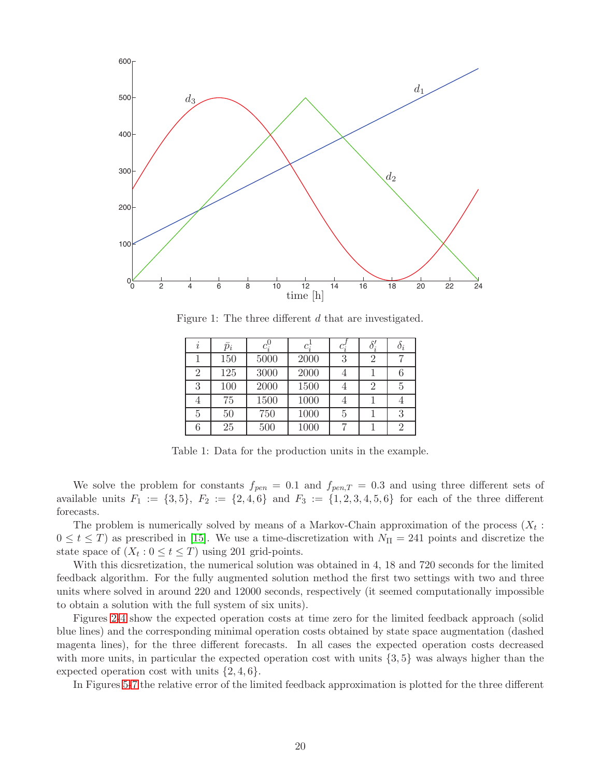<span id="page-19-0"></span>

<span id="page-19-1"></span>Figure 1: The three different d that are investigated.

| $\dot{i}$      | $\bar{p}_i$ | $c_i^0$ | $c_i^1$ | $c_i'$ | $\delta_i'$ | $\sigma_i$ |
|----------------|-------------|---------|---------|--------|-------------|------------|
|                | 150         | 5000    | 2000    | 3      | 2           |            |
| $\overline{2}$ | 125         | 3000    | 2000    | 4      |             |            |
| 3              | 100         | 2000    | 1500    | 4      | 2           | 5          |
| 4              | 75          | 1500    | 1000    | 4      |             |            |
| 5              | 50          | 750     | 1000    | 5      |             | 3          |
| 6              | 25          | 500     | 1000    |        |             | €          |

Table 1: Data for the production units in the example.

We solve the problem for constants  $f_{pen} = 0.1$  and  $f_{pen,T} = 0.3$  and using three different sets of available units  $F_1 := \{3, 5\}, F_2 := \{2, 4, 6\}$  and  $F_3 := \{1, 2, 3, 4, 5, 6\}$  for each of the three different forecasts.

The problem is numerically solved by means of a Markov-Chain approximation of the process  $(X_t:$  $0 \le t \le T$ ) as prescribed in [\[15\]](#page-23-16). We use a time-discretization with  $N_{\Pi} = 241$  points and discretize the state space of  $(X_t : 0 \le t \le T)$  using 201 grid-points.

With this dicsretization, the numerical solution was obtained in 4, 18 and 720 seconds for the limited feedback algorithm. For the fully augmented solution method the first two settings with two and three units where solved in around 220 and 12000 seconds, respectively (it seemed computationally impossible to obtain a solution with the full system of six units).

Figures [2-](#page-20-0)[4](#page-21-0) show the expected operation costs at time zero for the limited feedback approach (solid blue lines) and the corresponding minimal operation costs obtained by state space augmentation (dashed magenta lines), for the three different forecasts. In all cases the expected operation costs decreased with more units, in particular the expected operation cost with units {3, 5} was always higher than the expected operation cost with units  $\{2, 4, 6\}.$ 

In Figures [5-](#page-21-1)[7](#page-22-3) the relative error of the limited feedback approximation is plotted for the three different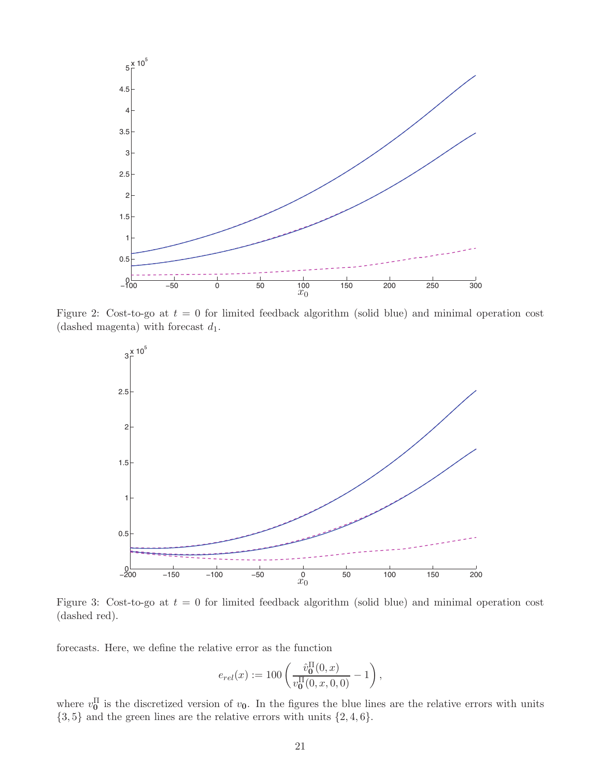<span id="page-20-0"></span>

Figure 2: Cost-to-go at  $t = 0$  for limited feedback algorithm (solid blue) and minimal operation cost (dashed magenta) with forecast  $d_1$ .



Figure 3: Cost-to-go at  $t = 0$  for limited feedback algorithm (solid blue) and minimal operation cost (dashed red).

forecasts. Here, we define the relative error as the function

$$
e_{rel}(x) := 100 \left( \frac{\hat{v}_0^{\Pi}(0, x)}{v_0^{\Pi}(0, x, 0, 0)} - 1 \right),
$$

where  $v_0^{\Pi}$  is the discretized version of  $v_0$ . In the figures the blue lines are the relative errors with units  $\{3, 5\}$  and the green lines are the relative errors with units  $\{2, 4, 6\}.$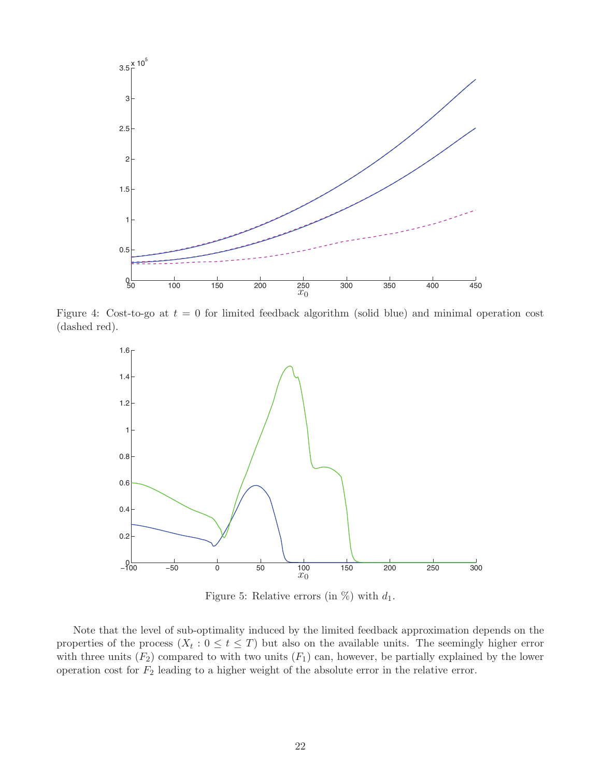<span id="page-21-0"></span>

<span id="page-21-1"></span>Figure 4: Cost-to-go at  $t = 0$  for limited feedback algorithm (solid blue) and minimal operation cost (dashed red).



Figure 5: Relative errors (in  $\%$ ) with  $d_1$ .

Note that the level of sub-optimality induced by the limited feedback approximation depends on the properties of the process  $(X_t: 0 \le t \le T)$  but also on the available units. The seemingly higher error with three units  $(F_2)$  compared to with two units  $(F_1)$  can, however, be partially explained by the lower operation cost for  $F_2$  leading to a higher weight of the absolute error in the relative error.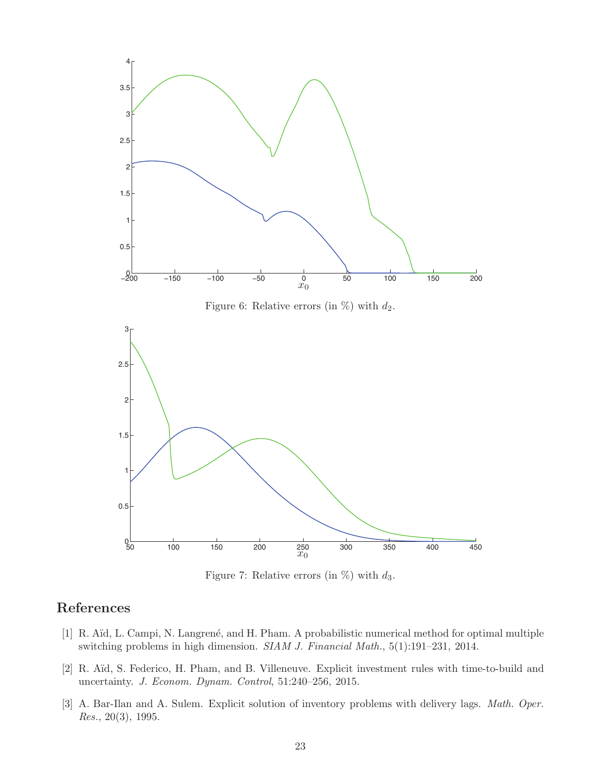<span id="page-22-3"></span>

Figure 7: Relative errors (in  $\%$ ) with  $d_3$ .

# <span id="page-22-2"></span>References

- [1] R. Aïd, L. Campi, N. Langrené, and H. Pham. A probabilistic numerical method for optimal multiple switching problems in high dimension. *SIAM J. Financial Math.*, 5(1):191–231, 2014.
- <span id="page-22-1"></span>[2] R. Aïd, S. Federico, H. Pham, and B. Villeneuve. Explicit investment rules with time-to-build and uncertainty. *J. Econom. Dynam. Control*, 51:240–256, 2015.
- <span id="page-22-0"></span>[3] A. Bar-Ilan and A. Sulem. Explicit solution of inventory problems with delivery lags. *Math. Oper. Res.*, 20(3), 1995.